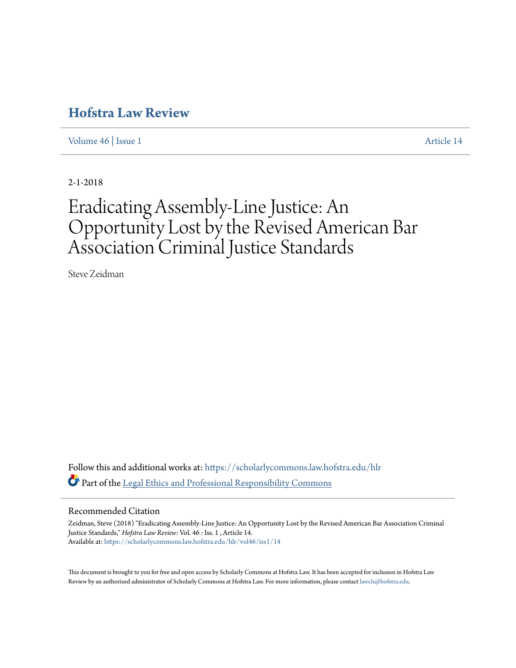# **[Hofstra Law Review](https://scholarlycommons.law.hofstra.edu/hlr?utm_source=scholarlycommons.law.hofstra.edu%2Fhlr%2Fvol46%2Fiss1%2F14&utm_medium=PDF&utm_campaign=PDFCoverPages)**

[Volume 46](https://scholarlycommons.law.hofstra.edu/hlr/vol46?utm_source=scholarlycommons.law.hofstra.edu%2Fhlr%2Fvol46%2Fiss1%2F14&utm_medium=PDF&utm_campaign=PDFCoverPages) | [Issue 1](https://scholarlycommons.law.hofstra.edu/hlr/vol46/iss1?utm_source=scholarlycommons.law.hofstra.edu%2Fhlr%2Fvol46%2Fiss1%2F14&utm_medium=PDF&utm_campaign=PDFCoverPages) [Article 14](https://scholarlycommons.law.hofstra.edu/hlr/vol46/iss1/14?utm_source=scholarlycommons.law.hofstra.edu%2Fhlr%2Fvol46%2Fiss1%2F14&utm_medium=PDF&utm_campaign=PDFCoverPages)

2-1-2018

# Eradicating Assembly-Line Justice: An Opportunity Lost by the Revised American Bar Association Criminal Justice Standards

Steve Zeidman

Follow this and additional works at: [https://scholarlycommons.law.hofstra.edu/hlr](https://scholarlycommons.law.hofstra.edu/hlr?utm_source=scholarlycommons.law.hofstra.edu%2Fhlr%2Fvol46%2Fiss1%2F14&utm_medium=PDF&utm_campaign=PDFCoverPages) Part of the [Legal Ethics and Professional Responsibility Commons](http://network.bepress.com/hgg/discipline/895?utm_source=scholarlycommons.law.hofstra.edu%2Fhlr%2Fvol46%2Fiss1%2F14&utm_medium=PDF&utm_campaign=PDFCoverPages)

# Recommended Citation

Zeidman, Steve (2018) "Eradicating Assembly-Line Justice: An Opportunity Lost by the Revised American Bar Association Criminal Justice Standards," *Hofstra Law Review*: Vol. 46 : Iss. 1 , Article 14. Available at: [https://scholarlycommons.law.hofstra.edu/hlr/vol46/iss1/14](https://scholarlycommons.law.hofstra.edu/hlr/vol46/iss1/14?utm_source=scholarlycommons.law.hofstra.edu%2Fhlr%2Fvol46%2Fiss1%2F14&utm_medium=PDF&utm_campaign=PDFCoverPages)

This document is brought to you for free and open access by Scholarly Commons at Hofstra Law. It has been accepted for inclusion in Hofstra Law Review by an authorized administrator of Scholarly Commons at Hofstra Law. For more information, please contact [lawcls@hofstra.edu](mailto:lawcls@hofstra.edu).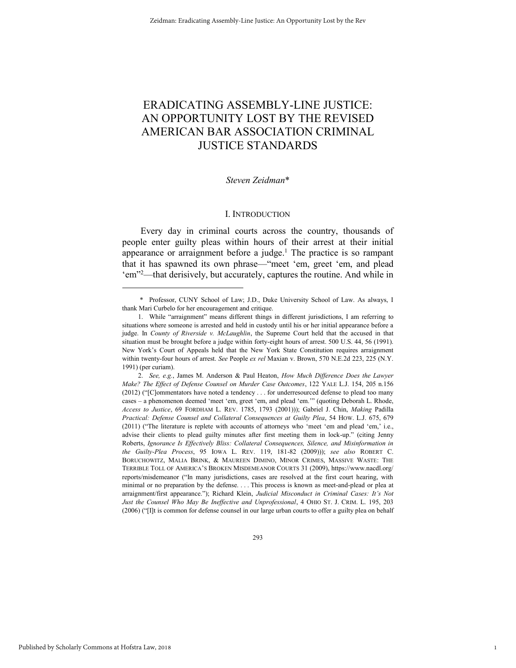# ERADICATING ASSEMBLY-LINE JUSTICE: AN OPPORTUNITY LOST BY THE REVISED AMERICAN BAR ASSOCIATION CRIMINAL JUSTICE STANDARDS

#### *Steven Zeidman*\*

#### I. INTRODUCTION

Every day in criminal courts across the country, thousands of people enter guilty pleas within hours of their arrest at their initial appearance or arraignment before a judge.<sup>1</sup> The practice is so rampant that it has spawned its own phrase—"meet 'em, greet 'em, and plead 'em" <sup>2</sup>—that derisively, but accurately, captures the routine. And while in

1

 <sup>\*</sup> Professor, CUNY School of Law; J.D., Duke University School of Law. As always, I thank Mari Curbelo for her encouragement and critique.

<sup>1.</sup> While "arraignment" means different things in different jurisdictions, I am referring to situations where someone is arrested and held in custody until his or her initial appearance before a judge. In *County of Riverside v. McLaughlin*, the Supreme Court held that the accused in that situation must be brought before a judge within forty-eight hours of arrest. 500 U.S. 44, 56 (1991). New York's Court of Appeals held that the New York State Constitution requires arraignment within twenty-four hours of arrest. *See* People *ex rel* Maxian v. Brown, 570 N.E.2d 223, 225 (N.Y. 1991) (per curiam).

<sup>2.</sup> *See, e.g.*, James M. Anderson & Paul Heaton, *How Much Difference Does the Lawyer Make? The Effect of Defense Counsel on Murder Case Outcomes*, 122 YALE L.J. 154, 205 n.156 (2012) ("[C]ommentators have noted a tendency . . . for underresourced defense to plead too many cases – a phenomenon deemed 'meet 'em, greet 'em, and plead 'em.'" (quoting Deborah L. Rhode, *Access to Justice*, 69 FORDHAM L. REV. 1785, 1793 (2001))); Gabriel J. Chin, *Making* Padilla *Practical: Defense Counsel and Collateral Consequences at Guilty Plea*, 54 HOW. L.J. 675, 679 (2011) ("The literature is replete with accounts of attorneys who 'meet 'em and plead 'em,' i.e., advise their clients to plead guilty minutes after first meeting them in lock-up." (citing Jenny Roberts, *Ignorance Is Effectively Bliss: Collateral Consequences, Silence, and Misinformation in the Guilty-Plea Process*, 95 IOWA L. REV. 119, 181-82 (2009))); *see also* ROBERT C. BORUCHOWITZ, MALIA BRINK, & MAUREEN DIMINO, MINOR CRIMES, MASSIVE WASTE: THE TERRIBLE TOLL OF AMERICA'S BROKEN MISDEMEANOR COURTS 31 (2009), https://www.nacdl.org/ reports/misdemeanor ("In many jurisdictions, cases are resolved at the first court hearing, with minimal or no preparation by the defense. . . . This process is known as meet-and-plead or plea at arraignment/first appearance."); Richard Klein, *Judicial Misconduct in Criminal Cases: It's Not Just the Counsel Who May Be Ineffective and Unprofessional*, 4 OHIO ST. J. CRIM. L. 195, 203 (2006) ("[I]t is common for defense counsel in our large urban courts to offer a guilty plea on behalf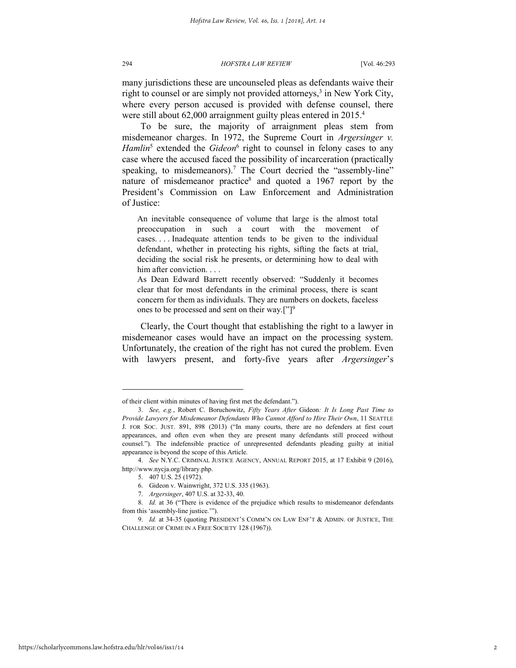many jurisdictions these are uncounseled pleas as defendants waive their right to counsel or are simply not provided attorneys,<sup>3</sup> in New York City, where every person accused is provided with defense counsel, there were still about 62,000 arraignment guilty pleas entered in 2015.<sup>4</sup>

To be sure, the majority of arraignment pleas stem from misdemeanor charges. In 1972, the Supreme Court in *Argersinger v.*  Hamlin<sup>5</sup> extended the *Gideon*<sup>6</sup> right to counsel in felony cases to any case where the accused faced the possibility of incarceration (practically speaking, to misdemeanors).<sup>7</sup> The Court decried the "assembly-line" nature of misdemeanor practice<sup>8</sup> and quoted a 1967 report by the President's Commission on Law Enforcement and Administration of Justice:

An inevitable consequence of volume that large is the almost total preoccupation in such a court with the movement of cases. . . . Inadequate attention tends to be given to the individual defendant, whether in protecting his rights, sifting the facts at trial, deciding the social risk he presents, or determining how to deal with him after conviction. . . .

As Dean Edward Barrett recently observed: "Suddenly it becomes clear that for most defendants in the criminal process, there is scant concern for them as individuals. They are numbers on dockets, faceless ones to be processed and sent on their way.["]<sup>9</sup>

Clearly, the Court thought that establishing the right to a lawyer in misdemeanor cases would have an impact on the processing system. Unfortunately, the creation of the right has not cured the problem. Even with lawyers present, and forty-five years after *Argersinger*'s

of their client within minutes of having first met the defendant.").

<sup>3.</sup> *See, e.g.*, Robert C. Boruchowitz, *Fifty Years After* Gideon*: It Is Long Past Time to Provide Lawyers for Misdemeanor Defendants Who Cannot Afford to Hire Their Own*, 11 SEATTLE J. FOR SOC. JUST. 891, 898 (2013) ("In many courts, there are no defenders at first court appearances, and often even when they are present many defendants still proceed without counsel."). The indefensible practice of unrepresented defendants pleading guilty at initial appearance is beyond the scope of this Article.

<sup>4.</sup> *See* N.Y.C. CRIMINAL JUSTICE AGENCY, ANNUAL REPORT 2015, at 17 Exhibit 9 (2016), http://www.nycja.org/library.php.

<sup>5. 407</sup> U.S. 25 (1972).

<sup>6.</sup> Gideon v. Wainwright, 372 U.S. 335 (1963).

<sup>7.</sup> *Argersinger*, 407 U.S. at 32-33, 40.

<sup>8.</sup> *Id.* at 36 ("There is evidence of the prejudice which results to misdemeanor defendants from this 'assembly-line justice.'").

<sup>9.</sup> *Id.* at 34-35 (quoting PRESIDENT'S COMM'N ON LAW ENF'T & ADMIN. OF JUSTICE, THE CHALLENGE OF CRIME IN A FREE SOCIETY 128 (1967)).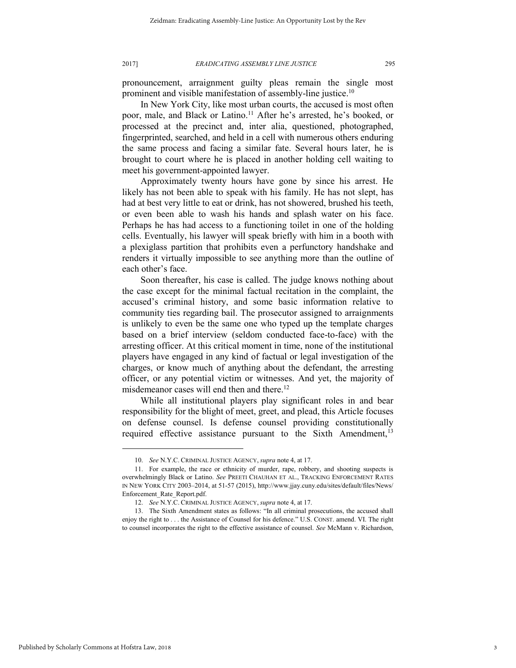pronouncement, arraignment guilty pleas remain the single most prominent and visible manifestation of assembly-line justice.<sup>10</sup>

In New York City, like most urban courts, the accused is most often poor, male, and Black or Latino.<sup>11</sup> After he's arrested, he's booked, or processed at the precinct and, inter alia, questioned, photographed, fingerprinted, searched, and held in a cell with numerous others enduring the same process and facing a similar fate. Several hours later, he is brought to court where he is placed in another holding cell waiting to meet his government-appointed lawyer.

Approximately twenty hours have gone by since his arrest. He likely has not been able to speak with his family. He has not slept, has had at best very little to eat or drink, has not showered, brushed his teeth, or even been able to wash his hands and splash water on his face. Perhaps he has had access to a functioning toilet in one of the holding cells. Eventually, his lawyer will speak briefly with him in a booth with a plexiglass partition that prohibits even a perfunctory handshake and renders it virtually impossible to see anything more than the outline of each other's face.

Soon thereafter, his case is called. The judge knows nothing about the case except for the minimal factual recitation in the complaint, the accused's criminal history, and some basic information relative to community ties regarding bail. The prosecutor assigned to arraignments is unlikely to even be the same one who typed up the template charges based on a brief interview (seldom conducted face-to-face) with the arresting officer. At this critical moment in time, none of the institutional players have engaged in any kind of factual or legal investigation of the charges, or know much of anything about the defendant, the arresting officer, or any potential victim or witnesses. And yet, the majority of misdemeanor cases will end then and there.<sup>12</sup>

While all institutional players play significant roles in and bear responsibility for the blight of meet, greet, and plead, this Article focuses on defense counsel. Is defense counsel providing constitutionally required effective assistance pursuant to the Sixth Amendment,  $13$ 

<sup>10.</sup> *See* N.Y.C. CRIMINAL JUSTICE AGENCY, *supra* note 4, at 17.

<sup>11.</sup> For example, the race or ethnicity of murder, rape, robbery, and shooting suspects is overwhelmingly Black or Latino. *See* PREETI CHAUHAN ET AL., TRACKING ENFORCEMENT RATES IN NEW YORK CITY 2003–2014, at 51-57 (2015), http://www.jjay.cuny.edu/sites/default/files/News/ Enforcement\_Rate\_Report.pdf.

<sup>12.</sup> *See* N.Y.C. CRIMINAL JUSTICE AGENCY, *supra* note 4, at 17.

<sup>13.</sup> The Sixth Amendment states as follows: "In all criminal prosecutions, the accused shall enjoy the right to . . . the Assistance of Counsel for his defence." U.S. CONST. amend. VI. The right to counsel incorporates the right to the effective assistance of counsel. *See* McMann v. Richardson,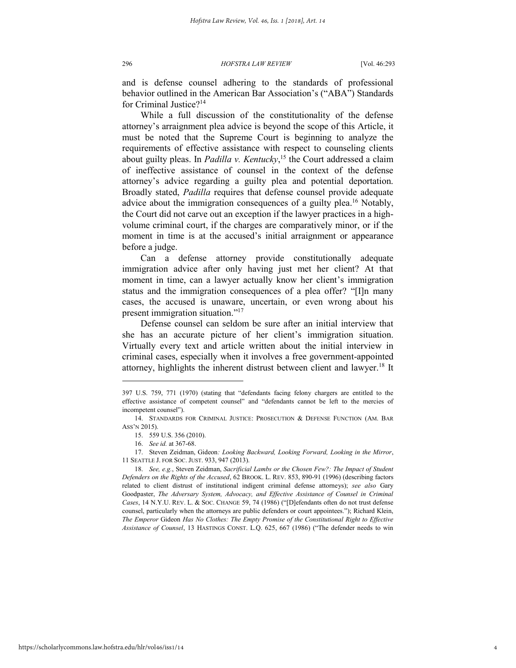and is defense counsel adhering to the standards of professional behavior outlined in the American Bar Association's ("ABA") Standards for Criminal Justice?<sup>14</sup>

While a full discussion of the constitutionality of the defense attorney's arraignment plea advice is beyond the scope of this Article, it must be noted that the Supreme Court is beginning to analyze the requirements of effective assistance with respect to counseling clients about guilty pleas. In *Padilla v. Kentucky*, <sup>15</sup> the Court addressed a claim of ineffective assistance of counsel in the context of the defense attorney's advice regarding a guilty plea and potential deportation. Broadly stated, *Padilla* requires that defense counsel provide adequate advice about the immigration consequences of a guilty plea.<sup>16</sup> Notably, the Court did not carve out an exception if the lawyer practices in a highvolume criminal court, if the charges are comparatively minor, or if the moment in time is at the accused's initial arraignment or appearance before a judge.

Can a defense attorney provide constitutionally adequate immigration advice after only having just met her client? At that moment in time, can a lawyer actually know her client's immigration status and the immigration consequences of a plea offer? "[I]n many cases, the accused is unaware, uncertain, or even wrong about his present immigration situation."<sup>17</sup>

Defense counsel can seldom be sure after an initial interview that she has an accurate picture of her client's immigration situation. Virtually every text and article written about the initial interview in criminal cases, especially when it involves a free government-appointed attorney, highlights the inherent distrust between client and lawyer.<sup>18</sup> It

<sup>397</sup> U.S. 759, 771 (1970) (stating that "defendants facing felony chargers are entitled to the effective assistance of competent counsel" and "defendants cannot be left to the mercies of incompetent counsel").

<sup>14.</sup> STANDARDS FOR CRIMINAL JUSTICE: PROSECUTION & DEFENSE FUNCTION (AM. BAR ASS'N 2015).

<sup>15. 559</sup> U.S. 356 (2010).

<sup>16.</sup> *See id.* at 367-68.

<sup>17.</sup> Steven Zeidman, Gideon*: Looking Backward, Looking Forward, Looking in the Mirror*, 11 SEATTLE J. FOR SOC. JUST. 933, 947 (2013).

<sup>18.</sup> *See, e.g.*, Steven Zeidman, *Sacrificial Lambs or the Chosen Few?: The Impact of Student Defenders on the Rights of the Accused*, 62 BROOK. L. REV. 853, 890-91 (1996) (describing factors related to client distrust of institutional indigent criminal defense attorneys); *see also* Gary Goodpaster, *The Adversary System, Advocacy, and Effective Assistance of Counsel in Criminal Cases*, 14 N.Y.U. REV. L. & SOC. CHANGE 59, 74 (1986) ("[D]efendants often do not trust defense counsel, particularly when the attorneys are public defenders or court appointees."); Richard Klein, *The Emperor* Gideon *Has No Clothes: The Empty Promise of the Constitutional Right to Effective Assistance of Counsel*, 13 HASTINGS CONST. L.Q. 625, 667 (1986) ("The defender needs to win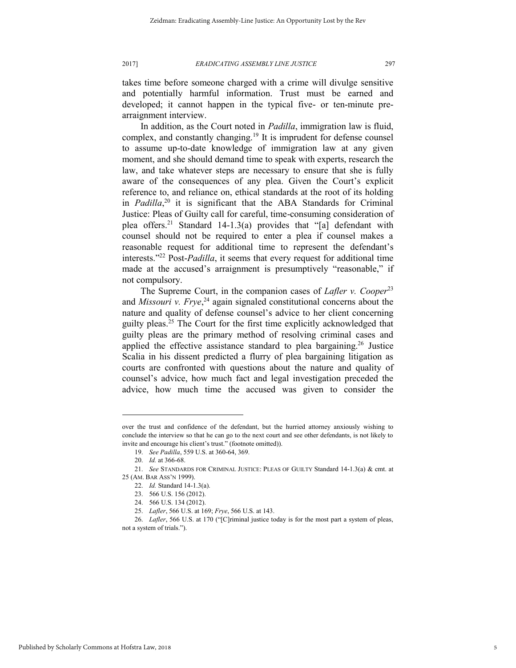takes time before someone charged with a crime will divulge sensitive and potentially harmful information. Trust must be earned and developed; it cannot happen in the typical five- or ten-minute prearraignment interview.

In addition, as the Court noted in *Padilla*, immigration law is fluid, complex, and constantly changing.<sup>19</sup> It is imprudent for defense counsel to assume up-to-date knowledge of immigration law at any given moment, and she should demand time to speak with experts, research the law, and take whatever steps are necessary to ensure that she is fully aware of the consequences of any plea. Given the Court's explicit reference to, and reliance on, ethical standards at the root of its holding in *Padilla*, <sup>20</sup> it is significant that the ABA Standards for Criminal Justice: Pleas of Guilty call for careful, time-consuming consideration of plea offers.<sup>21</sup> Standard 14-1.3(a) provides that "[a] defendant with counsel should not be required to enter a plea if counsel makes a reasonable request for additional time to represent the defendant's interests."<sup>22</sup> Post-*Padilla*, it seems that every request for additional time made at the accused's arraignment is presumptively "reasonable," if not compulsory.

The Supreme Court, in the companion cases of *Lafler v. Cooper*<sup>23</sup> and *Missouri v. Frye*, <sup>24</sup> again signaled constitutional concerns about the nature and quality of defense counsel's advice to her client concerning guilty pleas.<sup>25</sup> The Court for the first time explicitly acknowledged that guilty pleas are the primary method of resolving criminal cases and applied the effective assistance standard to plea bargaining.<sup>26</sup> Justice Scalia in his dissent predicted a flurry of plea bargaining litigation as courts are confronted with questions about the nature and quality of counsel's advice, how much fact and legal investigation preceded the advice, how much time the accused was given to consider the

over the trust and confidence of the defendant, but the hurried attorney anxiously wishing to conclude the interview so that he can go to the next court and see other defendants, is not likely to invite and encourage his client's trust." (footnote omitted)).

<sup>19.</sup> *See Padilla*, 559 U.S. at 360-64, 369.

<sup>20.</sup> *Id.* at 366-68.

<sup>21.</sup> *See* STANDARDS FOR CRIMINAL JUSTICE: PLEAS OF GUILTY Standard 14-1.3(a) & cmt. at 25 (AM. BAR ASS'N 1999).

<sup>22.</sup> *Id.* Standard 14-1.3(a).

<sup>23. 566</sup> U.S. 156 (2012).

<sup>24. 566</sup> U.S. 134 (2012).

<sup>25.</sup> *Lafler*, 566 U.S. at 169; *Frye*, 566 U.S. at 143.

<sup>26.</sup> *Lafler*, 566 U.S. at 170 ("[C]riminal justice today is for the most part a system of pleas, not a system of trials.").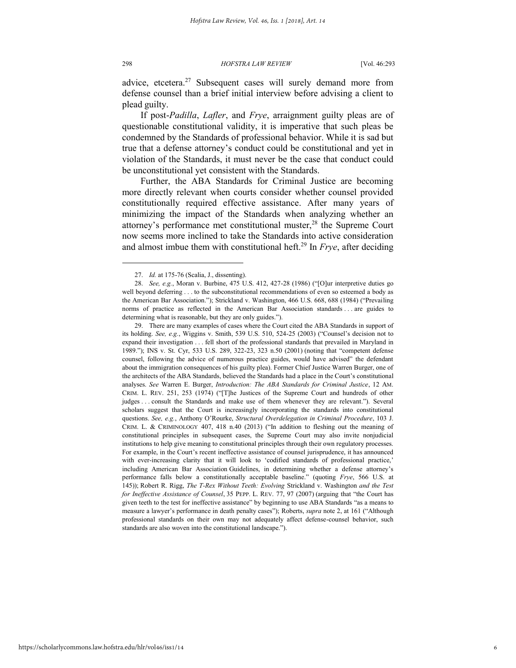advice, etcetera.<sup>27</sup> Subsequent cases will surely demand more from defense counsel than a brief initial interview before advising a client to plead guilty.

If post-*Padilla*, *Lafler*, and *Frye*, arraignment guilty pleas are of questionable constitutional validity, it is imperative that such pleas be condemned by the Standards of professional behavior. While it is sad but true that a defense attorney's conduct could be constitutional and yet in violation of the Standards, it must never be the case that conduct could be unconstitutional yet consistent with the Standards.

Further, the ABA Standards for Criminal Justice are becoming more directly relevant when courts consider whether counsel provided constitutionally required effective assistance. After many years of minimizing the impact of the Standards when analyzing whether an attorney's performance met constitutional muster,<sup>28</sup> the Supreme Court now seems more inclined to take the Standards into active consideration and almost imbue them with constitutional heft.<sup>29</sup> In *Frye*, after deciding

<sup>27.</sup> *Id.* at 175-76 (Scalia, J., dissenting).

<sup>28.</sup> *See, e.g.*, Moran v. Burbine, 475 U.S. 412, 427-28 (1986) ("[O]ur interpretive duties go well beyond deferring . . . to the subconstitutional recommendations of even so esteemed a body as the American Bar Association."); Strickland v. Washington, 466 U.S. 668, 688 (1984) ("Prevailing norms of practice as reflected in the American Bar Association standards . . . are guides to determining what is reasonable, but they are only guides.").

<sup>29.</sup> There are many examples of cases where the Court cited the ABA Standards in support of its holding. *See, e.g.*, Wiggins v. Smith, 539 U.S. 510, 524-25 (2003) ("Counsel's decision not to expand their investigation . . . fell short of the professional standards that prevailed in Maryland in 1989."); INS v. St. Cyr, 533 U.S. 289, 322-23, 323 n.50 (2001) (noting that "competent defense counsel, following the advice of numerous practice guides, would have advised" the defendant about the immigration consequences of his guilty plea). Former Chief Justice Warren Burger, one of the architects of the ABA Standards, believed the Standards had a place in the Court's constitutional analyses. *See* Warren E. Burger, *Introduction: The ABA Standards for Criminal Justice*, 12 AM. CRIM. L. REV. 251, 253 (1974) ("[T]he Justices of the Supreme Court and hundreds of other judges . . . consult the Standards and make use of them whenever they are relevant."). Several scholars suggest that the Court is increasingly incorporating the standards into constitutional questions. *See, e.g.*, Anthony O'Rourke, *Structural Overdelegation in Criminal Procedure*, 103 J. CRIM. L. & CRIMINOLOGY 407, 418 n.40 (2013) ("In addition to fleshing out the meaning of constitutional principles in subsequent cases, the Supreme Court may also invite nonjudicial institutions to help give meaning to constitutional principles through their own regulatory processes. For example, in the Court's recent ineffective assistance of counsel jurisprudence, it has announced with ever-increasing clarity that it will look to 'codified standards of professional practice,' including American Bar Association Guidelines, in determining whether a defense attorney's performance falls below a constitutionally acceptable baseline." (quoting *Frye*, 566 U.S. at 145)); Robert R. Rigg, *The T-Rex Without Teeth: Evolving* Strickland v. Washington *and the Test for Ineffective Assistance of Counsel*, 35 PEPP. L. REV. 77, 97 (2007) (arguing that "the Court has given teeth to the test for ineffective assistance" by beginning to use ABA Standards "as a means to measure a lawyer's performance in death penalty cases"); Roberts, *supra* note 2, at 161 ("Although professional standards on their own may not adequately affect defense-counsel behavior, such standards are also woven into the constitutional landscape.").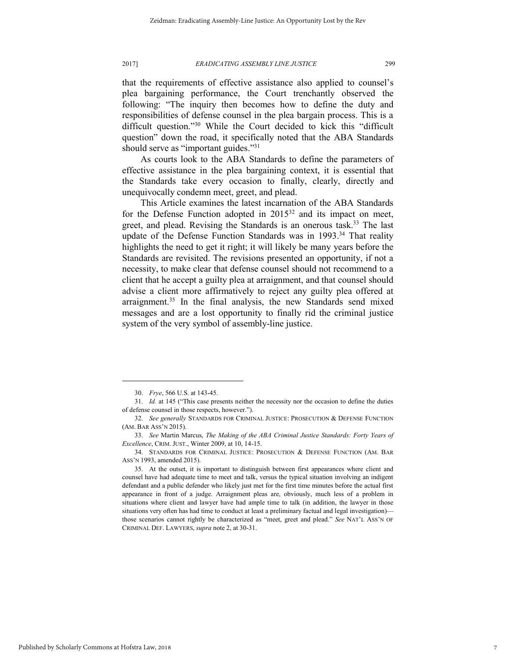that the requirements of effective assistance also applied to counsel's plea bargaining performance, the Court trenchantly observed the following: "The inquiry then becomes how to define the duty and responsibilities of defense counsel in the plea bargain process. This is a difficult question."<sup>30</sup> While the Court decided to kick this "difficult

should serve as "important guides."<sup>31</sup> As courts look to the ABA Standards to define the parameters of effective assistance in the plea bargaining context, it is essential that the Standards take every occasion to finally, clearly, directly and unequivocally condemn meet, greet, and plead.

question" down the road, it specifically noted that the ABA Standards

This Article examines the latest incarnation of the ABA Standards for the Defense Function adopted in  $2015^{32}$  and its impact on meet, greet, and plead. Revising the Standards is an onerous task.<sup>33</sup> The last update of the Defense Function Standards was in  $1993$ .<sup>34</sup> That reality highlights the need to get it right; it will likely be many years before the Standards are revisited. The revisions presented an opportunity, if not a necessity, to make clear that defense counsel should not recommend to a client that he accept a guilty plea at arraignment, and that counsel should advise a client more affirmatively to reject any guilty plea offered at arraignment.<sup>35</sup> In the final analysis, the new Standards send mixed messages and are a lost opportunity to finally rid the criminal justice system of the very symbol of assembly-line justice.

<sup>30.</sup> *Frye*, 566 U.S. at 143-45.

<sup>31.</sup> *Id.* at 145 ("This case presents neither the necessity nor the occasion to define the duties of defense counsel in those respects, however.").

<sup>32.</sup> *See generally* STANDARDS FOR CRIMINAL JUSTICE: PROSECUTION & DEFENSE FUNCTION (AM. BAR ASS'N 2015).

<sup>33.</sup> *See* Martin Marcus, *The Making of the ABA Criminal Justice Standards: Forty Years of Excellence*, CRIM. JUST., Winter 2009, at 10, 14-15.

<sup>34.</sup> STANDARDS FOR CRIMINAL JUSTICE: PROSECUTION & DEFENSE FUNCTION (AM. BAR ASS'N 1993, amended 2015).

<sup>35.</sup> At the outset, it is important to distinguish between first appearances where client and counsel have had adequate time to meet and talk, versus the typical situation involving an indigent defendant and a public defender who likely just met for the first time minutes before the actual first appearance in front of a judge. Arraignment pleas are, obviously, much less of a problem in situations where client and lawyer have had ample time to talk (in addition, the lawyer in those situations very often has had time to conduct at least a preliminary factual and legal investigation) those scenarios cannot rightly be characterized as "meet, greet and plead." *See* NAT'L ASS'N OF CRIMINAL DEF. LAWYERS, *supra* note 2, at 30-31.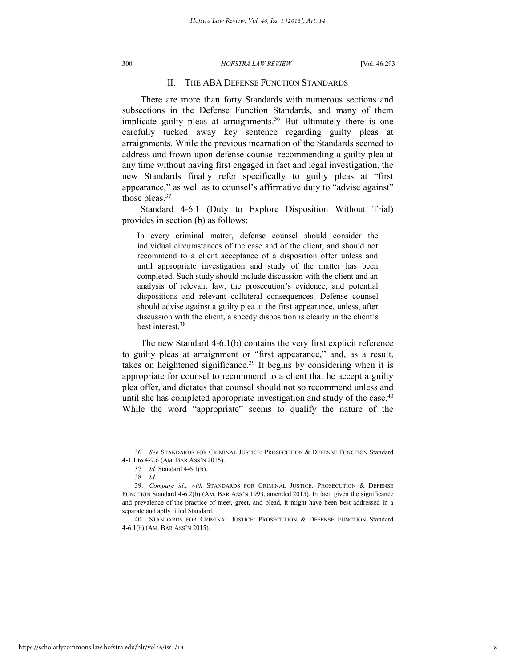#### II. THE ABA DEFENSE FUNCTION STANDARDS

There are more than forty Standards with numerous sections and subsections in the Defense Function Standards, and many of them implicate guilty pleas at arraignments.<sup>36</sup> But ultimately there is one carefully tucked away key sentence regarding guilty pleas at arraignments. While the previous incarnation of the Standards seemed to address and frown upon defense counsel recommending a guilty plea at any time without having first engaged in fact and legal investigation, the new Standards finally refer specifically to guilty pleas at "first appearance," as well as to counsel's affirmative duty to "advise against" those pleas.<sup>37</sup>

Standard 4-6.1 (Duty to Explore Disposition Without Trial) provides in section (b) as follows:

In every criminal matter, defense counsel should consider the individual circumstances of the case and of the client, and should not recommend to a client acceptance of a disposition offer unless and until appropriate investigation and study of the matter has been completed. Such study should include discussion with the client and an analysis of relevant law, the prosecution's evidence, and potential dispositions and relevant collateral consequences. Defense counsel should advise against a guilty plea at the first appearance, unless, after discussion with the client, a speedy disposition is clearly in the client's best interest.<sup>38</sup>

The new Standard 4-6.1(b) contains the very first explicit reference to guilty pleas at arraignment or "first appearance," and, as a result, takes on heightened significance.<sup>39</sup> It begins by considering when it is appropriate for counsel to recommend to a client that he accept a guilty plea offer, and dictates that counsel should not so recommend unless and until she has completed appropriate investigation and study of the case. $40$ While the word "appropriate" seems to qualify the nature of the

<sup>36.</sup> *See* STANDARDS FOR CRIMINAL JUSTICE: PROSECUTION & DEFENSE FUNCTION Standard 4-1.1 to 4-9.6 (AM. BAR ASS'N 2015).

<sup>37.</sup> *Id.* Standard 4-6.1(b).

<sup>38.</sup> *Id.*

<sup>39.</sup> *Compare id.*, *with* STANDARDS FOR CRIMINAL JUSTICE: PROSECUTION & DEFENSE FUNCTION Standard 4-6.2(b) (AM. BAR ASS'N 1993, amended 2015). In fact, given the significance and prevalence of the practice of meet, greet, and plead, it might have been best addressed in a separate and aptly titled Standard.

<sup>40.</sup> STANDARDS FOR CRIMINAL JUSTICE: PROSECUTION & DEFENSE FUNCTION Standard 4-6.1(b) (AM. BAR ASS'N 2015).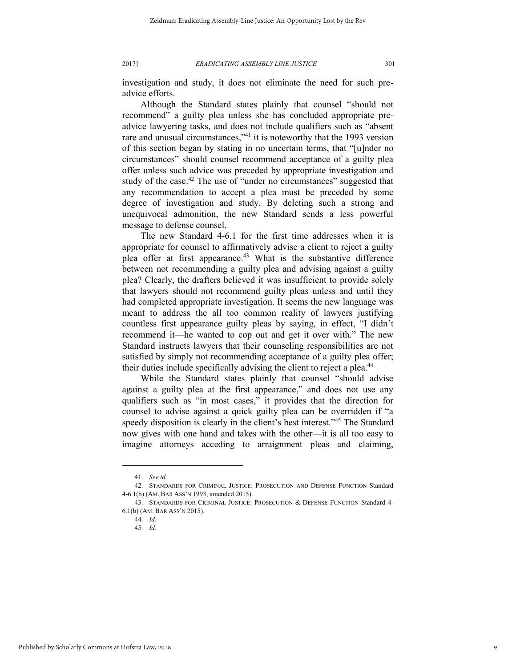investigation and study, it does not eliminate the need for such preadvice efforts.

Although the Standard states plainly that counsel "should not recommend" a guilty plea unless she has concluded appropriate preadvice lawyering tasks, and does not include qualifiers such as "absent rare and unusual circumstances,<sup>341</sup> it is noteworthy that the 1993 version of this section began by stating in no uncertain terms, that "[u]nder no circumstances" should counsel recommend acceptance of a guilty plea offer unless such advice was preceded by appropriate investigation and study of the case.<sup>42</sup> The use of "under no circumstances" suggested that any recommendation to accept a plea must be preceded by some degree of investigation and study. By deleting such a strong and unequivocal admonition, the new Standard sends a less powerful message to defense counsel.

The new Standard 4-6.1 for the first time addresses when it is appropriate for counsel to affirmatively advise a client to reject a guilty plea offer at first appearance.<sup>43</sup> What is the substantive difference between not recommending a guilty plea and advising against a guilty plea? Clearly, the drafters believed it was insufficient to provide solely that lawyers should not recommend guilty pleas unless and until they had completed appropriate investigation. It seems the new language was meant to address the all too common reality of lawyers justifying countless first appearance guilty pleas by saying, in effect, "I didn't recommend it—he wanted to cop out and get it over with." The new Standard instructs lawyers that their counseling responsibilities are not satisfied by simply not recommending acceptance of a guilty plea offer; their duties include specifically advising the client to reject a plea.<sup>44</sup>

While the Standard states plainly that counsel "should advise against a guilty plea at the first appearance," and does not use any qualifiers such as "in most cases," it provides that the direction for counsel to advise against a quick guilty plea can be overridden if "a speedy disposition is clearly in the client's best interest."<sup>45</sup> The Standard now gives with one hand and takes with the other—it is all too easy to imagine attorneys acceding to arraignment pleas and claiming,

<sup>41.</sup> *See id.*

<sup>42.</sup> STANDARDS FOR CRIMINAL JUSTICE: PROSECUTION AND DEFENSE FUNCTION Standard 4-6.1(b) (AM. BAR ASS'N 1993, amended 2015).

<sup>43.</sup> STANDARDS FOR CRIMINAL JUSTICE: PROSECUTION & DEFENSE FUNCTION Standard 4- 6.1(b) (AM. BAR ASS'N 2015).

<sup>44.</sup> *Id.*

<sup>45.</sup> *Id.*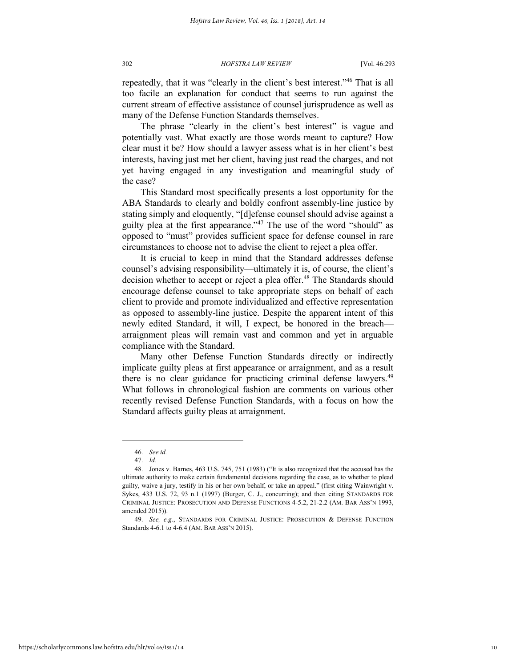repeatedly, that it was "clearly in the client's best interest."<sup>46</sup> That is all too facile an explanation for conduct that seems to run against the current stream of effective assistance of counsel jurisprudence as well as many of the Defense Function Standards themselves.

The phrase "clearly in the client's best interest" is vague and potentially vast. What exactly are those words meant to capture? How clear must it be? How should a lawyer assess what is in her client's best interests, having just met her client, having just read the charges, and not yet having engaged in any investigation and meaningful study of the case?

This Standard most specifically presents a lost opportunity for the ABA Standards to clearly and boldly confront assembly-line justice by stating simply and eloquently, "[d]efense counsel should advise against a guilty plea at the first appearance."<sup>47</sup> The use of the word "should" as opposed to "must" provides sufficient space for defense counsel in rare circumstances to choose not to advise the client to reject a plea offer.

It is crucial to keep in mind that the Standard addresses defense counsel's advising responsibility—ultimately it is, of course, the client's decision whether to accept or reject a plea offer.<sup>48</sup> The Standards should encourage defense counsel to take appropriate steps on behalf of each client to provide and promote individualized and effective representation as opposed to assembly-line justice. Despite the apparent intent of this newly edited Standard, it will, I expect, be honored in the breach arraignment pleas will remain vast and common and yet in arguable compliance with the Standard.

Many other Defense Function Standards directly or indirectly implicate guilty pleas at first appearance or arraignment, and as a result there is no clear guidance for practicing criminal defense lawyers.<sup>49</sup> What follows in chronological fashion are comments on various other recently revised Defense Function Standards, with a focus on how the Standard affects guilty pleas at arraignment.

<sup>46.</sup> *See id.*

<sup>47.</sup> *Id.* 

<sup>48.</sup> Jones v. Barnes, 463 U.S. 745, 751 (1983) ("It is also recognized that the accused has the ultimate authority to make certain fundamental decisions regarding the case, as to whether to plead guilty, waive a jury, testify in his or her own behalf, or take an appeal." (first citing Wainwright v. Sykes, 433 U.S. 72, 93 n.1 (1997) (Burger, C. J., concurring); and then citing STANDARDS FOR CRIMINAL JUSTICE: PROSECUTION AND DEFENSE FUNCTIONS 4-5.2, 21-2.2 (AM. BAR ASS'N 1993, amended 2015)).

<sup>49.</sup> *See, e.g.*, STANDARDS FOR CRIMINAL JUSTICE: PROSECUTION & DEFENSE FUNCTION Standards 4-6.1 to 4-6.4 (AM. BAR ASS'N 2015).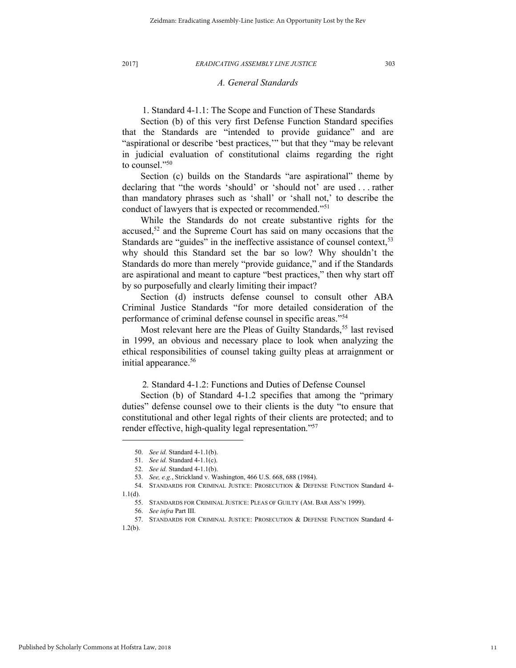### *A. General Standards*

1. Standard 4-1.1: The Scope and Function of These Standards

Section (b) of this very first Defense Function Standard specifies that the Standards are "intended to provide guidance" and are "aspirational or describe 'best practices,'" but that they "may be relevant in judicial evaluation of constitutional claims regarding the right to counsel."<sup>50</sup>

Section (c) builds on the Standards "are aspirational" theme by declaring that "the words 'should' or 'should not' are used . . . rather than mandatory phrases such as 'shall' or 'shall not,' to describe the conduct of lawyers that is expected or recommended."<sup>51</sup>

While the Standards do not create substantive rights for the accused, $52$  and the Supreme Court has said on many occasions that the Standards are "guides" in the ineffective assistance of counsel context,<sup>53</sup> why should this Standard set the bar so low? Why shouldn't the Standards do more than merely "provide guidance," and if the Standards are aspirational and meant to capture "best practices," then why start off by so purposefully and clearly limiting their impact?

Section (d) instructs defense counsel to consult other ABA Criminal Justice Standards "for more detailed consideration of the performance of criminal defense counsel in specific areas."<sup>54</sup>

Most relevant here are the Pleas of Guilty Standards,<sup>55</sup> last revised in 1999, an obvious and necessary place to look when analyzing the ethical responsibilities of counsel taking guilty pleas at arraignment or initial appearance.<sup>56</sup>

2*.* Standard 4-1.2: Functions and Duties of Defense Counsel

Section (b) of Standard 4-1.2 specifies that among the "primary duties" defense counsel owe to their clients is the duty "to ensure that constitutional and other legal rights of their clients are protected; and to render effective, high-quality legal representation."<sup>57</sup>

<sup>50.</sup> *See id.* Standard 4-1.1(b).

<sup>51.</sup> *See id.* Standard 4-1.1(c).

<sup>52.</sup> *See id.* Standard 4-1.1(b).

<sup>53.</sup> *See, e.g.*, Strickland v. Washington, 466 U.S. 668, 688 (1984).

<sup>54.</sup> STANDARDS FOR CRIMINAL JUSTICE: PROSECUTION & DEFENSE FUNCTION Standard 4-  $1.1(d)$ .

<sup>55.</sup> STANDARDS FOR CRIMINAL JUSTICE: PLEAS OF GUILTY (AM. BAR ASS'N 1999).

<sup>56.</sup> *See infra* Part III.

<sup>57.</sup> STANDARDS FOR CRIMINAL JUSTICE: PROSECUTION & DEFENSE FUNCTION Standard 4- 1.2(b).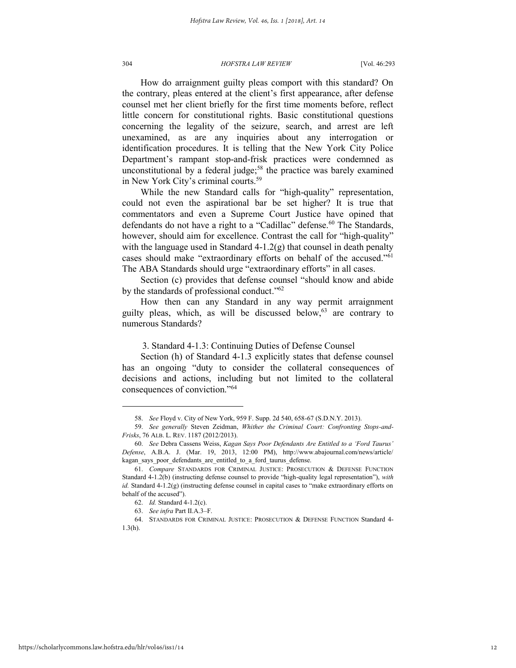How do arraignment guilty pleas comport with this standard? On the contrary, pleas entered at the client's first appearance, after defense counsel met her client briefly for the first time moments before, reflect little concern for constitutional rights. Basic constitutional questions concerning the legality of the seizure, search, and arrest are left unexamined, as are any inquiries about any interrogation or identification procedures. It is telling that the New York City Police Department's rampant stop-and-frisk practices were condemned as unconstitutional by a federal judge;<sup>58</sup> the practice was barely examined in New York City's criminal courts.<sup>59</sup>

While the new Standard calls for "high-quality" representation, could not even the aspirational bar be set higher? It is true that commentators and even a Supreme Court Justice have opined that defendants do not have a right to a "Cadillac" defense.<sup>60</sup> The Standards, however, should aim for excellence. Contrast the call for "high-quality" with the language used in Standard  $4-1.2(g)$  that counsel in death penalty cases should make "extraordinary efforts on behalf of the accused."<sup>61</sup> The ABA Standards should urge "extraordinary efforts" in all cases.

Section (c) provides that defense counsel "should know and abide by the standards of professional conduct."<sup>62</sup>

How then can any Standard in any way permit arraignment guilty pleas, which, as will be discussed below, $63$  are contrary to numerous Standards?

3. Standard 4-1.3: Continuing Duties of Defense Counsel

Section (h) of Standard 4-1.3 explicitly states that defense counsel has an ongoing "duty to consider the collateral consequences of decisions and actions, including but not limited to the collateral consequences of conviction."<sup>64</sup>

<sup>58.</sup> *See* Floyd v. City of New York, 959 F. Supp. 2d 540, 658-67 (S.D.N.Y. 2013).

<sup>59.</sup> *See generally* Steven Zeidman, *Whither the Criminal Court: Confronting Stops-and-Frisks*, 76 ALB. L. REV. 1187 (2012/2013).

<sup>60.</sup> *See* Debra Cassens Weiss, *Kagan Says Poor Defendants Are Entitled to a 'Ford Taurus' Defense*, A.B.A. J. (Mar. 19, 2013, 12:00 PM), http://www.abajournal.com/news/article/ kagan says poor defendants are entitled to a ford taurus defense.

<sup>61.</sup> *Compare* STANDARDS FOR CRIMINAL JUSTICE: PROSECUTION & DEFENSE FUNCTION Standard 4-1.2(b) (instructing defense counsel to provide "high-quality legal representation"), *with id.* Standard 4-1.2(g) (instructing defense counsel in capital cases to "make extraordinary efforts on behalf of the accused").

<sup>62.</sup> *Id.* Standard 4-1.2(c).

<sup>63.</sup> *See infra* Part II.A.3–F.

<sup>64.</sup> STANDARDS FOR CRIMINAL JUSTICE: PROSECUTION & DEFENSE FUNCTION Standard 4- 1.3(h).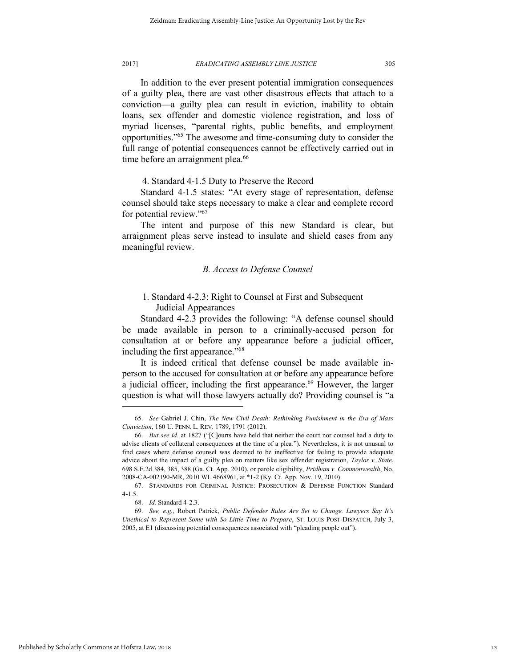In addition to the ever present potential immigration consequences of a guilty plea, there are vast other disastrous effects that attach to a conviction—a guilty plea can result in eviction, inability to obtain loans, sex offender and domestic violence registration, and loss of myriad licenses, "parental rights, public benefits, and employment opportunities." <sup>65</sup> The awesome and time-consuming duty to consider the full range of potential consequences cannot be effectively carried out in time before an arraignment plea.<sup>66</sup>

4. Standard 4-1.5 Duty to Preserve the Record

Standard 4-1.5 states: "At every stage of representation, defense counsel should take steps necessary to make a clear and complete record for potential review."<sup>67</sup>

The intent and purpose of this new Standard is clear, but arraignment pleas serve instead to insulate and shield cases from any meaningful review.

#### *B. Access to Defense Counsel*

# 1. Standard 4-2.3: Right to Counsel at First and Subsequent Judicial Appearances

Standard 4-2.3 provides the following: "A defense counsel should be made available in person to a criminally-accused person for consultation at or before any appearance before a judicial officer, including the first appearance."<sup>68</sup>

It is indeed critical that defense counsel be made available inperson to the accused for consultation at or before any appearance before a judicial officer, including the first appearance.<sup>69</sup> However, the larger question is what will those lawyers actually do? Providing counsel is "a

<sup>65.</sup> *See* Gabriel J. Chin, *The New Civil Death: Rethinking Punishment in the Era of Mass Conviction*, 160 U. PENN. L. REV. 1789, 1791 (2012).

<sup>66.</sup> *But see id.* at 1827 ("[C]ourts have held that neither the court nor counsel had a duty to advise clients of collateral consequences at the time of a plea."). Nevertheless, it is not unusual to find cases where defense counsel was deemed to be ineffective for failing to provide adequate advice about the impact of a guilty plea on matters like sex offender registration, *Taylor v. State*, 698 S.E.2d 384, 385, 388 (Ga. Ct. App. 2010), or parole eligibility, *Pridham v. Commonwealth*, No. 2008-CA-002190-MR, 2010 WL 4668961, at \*1-2 (Ky. Ct. App. Nov. 19, 2010).

<sup>67.</sup> STANDARDS FOR CRIMINAL JUSTICE: PROSECUTION & DEFENSE FUNCTION Standard  $4-1.5$ 

<sup>68.</sup> *Id.* Standard 4-2.3.

<sup>69.</sup> *See, e.g.*, Robert Patrick, *Public Defender Rules Are Set to Change. Lawyers Say It's Unethical to Represent Some with So Little Time to Prepare*, ST. LOUIS POST-DISPATCH, July 3, 2005, at E1 (discussing potential consequences associated with "pleading people out").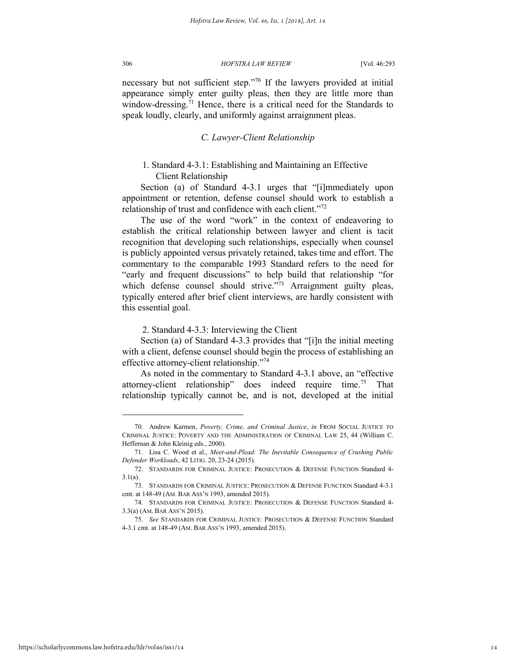necessary but not sufficient step." <sup>70</sup> If the lawyers provided at initial appearance simply enter guilty pleas, then they are little more than window-dressing.<sup>71</sup> Hence, there is a critical need for the Standards to speak loudly, clearly, and uniformly against arraignment pleas.

#### *C. Lawyer-Client Relationship*

### 1. Standard 4-3.1: Establishing and Maintaining an Effective Client Relationship

Section (a) of Standard 4-3.1 urges that "[i]mmediately upon appointment or retention, defense counsel should work to establish a relationship of trust and confidence with each client."<sup>72</sup>

The use of the word "work" in the context of endeavoring to establish the critical relationship between lawyer and client is tacit recognition that developing such relationships, especially when counsel is publicly appointed versus privately retained, takes time and effort. The commentary to the comparable 1993 Standard refers to the need for "early and frequent discussions" to help build that relationship "for which defense counsel should strive."<sup>73</sup> Arraignment guilty pleas, typically entered after brief client interviews, are hardly consistent with this essential goal.

#### 2. Standard 4-3.3: Interviewing the Client

Section (a) of Standard 4-3.3 provides that "[i]n the initial meeting with a client, defense counsel should begin the process of establishing an effective attorney-client relationship."<sup>74</sup>

As noted in the commentary to Standard 4-3.1 above, an "effective attorney-client relationship" does indeed require time.<sup>75</sup> That relationship typically cannot be, and is not, developed at the initial

<sup>70.</sup> Andrew Karmen, *Poverty, Crime, and Criminal Justice*, *in* FROM SOCIAL JUSTICE TO CRIMINAL JUSTICE: POVERTY AND THE ADMINISTRATION OF CRIMINAL LAW 25, 44 (William C. Heffernan & John Kleinig eds., 2000).

<sup>71.</sup> Lisa C. Wood et al., *Meet-and-Plead: The Inevitable Consequence of Crushing Public Defender Workloads*, 42 LITIG. 20, 23-24 (2015).

<sup>72.</sup> STANDARDS FOR CRIMINAL JUSTICE: PROSECUTION & DEFENSE FUNCTION Standard 4- 3.1(a).

<sup>73.</sup> STANDARDS FOR CRIMINAL JUSTICE: PROSECUTION & DEFENSE FUNCTION Standard 4-3.1 cmt. at 148-49 (AM. BAR ASS'N 1993, amended 2015).

<sup>74.</sup> STANDARDS FOR CRIMINAL JUSTICE: PROSECUTION & DEFENSE FUNCTION Standard 4- 3.3(a) (AM. BAR ASS'N 2015).

<sup>75.</sup> *See* STANDARDS FOR CRIMINAL JUSTICE: PROSECUTION & DEFENSE FUNCTION Standard 4-3.1 cmt. at 148-49 (AM. BAR ASS'N 1993, amended 2015).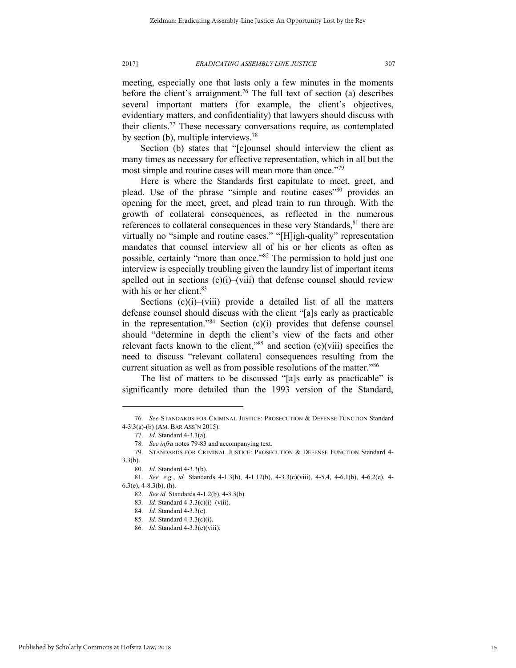meeting, especially one that lasts only a few minutes in the moments before the client's arraignment.<sup>76</sup> The full text of section (a) describes several important matters (for example, the client's objectives, evidentiary matters, and confidentiality) that lawyers should discuss with their clients.<sup>77</sup> These necessary conversations require, as contemplated by section (b), multiple interviews.<sup>78</sup>

Section (b) states that "[c]ounsel should interview the client as many times as necessary for effective representation, which in all but the most simple and routine cases will mean more than once."<sup>79</sup>

Here is where the Standards first capitulate to meet, greet, and plead. Use of the phrase "simple and routine cases"<sup>80</sup> provides an opening for the meet, greet, and plead train to run through. With the growth of collateral consequences, as reflected in the numerous references to collateral consequences in these very Standards,<sup>81</sup> there are virtually no "simple and routine cases." "[H]igh-quality" representation mandates that counsel interview all of his or her clients as often as possible, certainly "more than once."<sup>82</sup> The permission to hold just one interview is especially troubling given the laundry list of important items spelled out in sections  $(c)(i)$ –(viii) that defense counsel should review with his or her client.<sup>83</sup>

Sections  $(c)(i)$ – $(viii)$  provide a detailed list of all the matters defense counsel should discuss with the client "[a]s early as practicable in the representation."<sup>84</sup> Section (c)(i) provides that defense counsel should "determine in depth the client's view of the facts and other relevant facts known to the client," $85$  and section (c)(viii) specifies the need to discuss "relevant collateral consequences resulting from the current situation as well as from possible resolutions of the matter."<sup>86</sup>

The list of matters to be discussed "[a]s early as practicable" is significantly more detailed than the 1993 version of the Standard,

<sup>76.</sup> *See* STANDARDS FOR CRIMINAL JUSTICE: PROSECUTION & DEFENSE FUNCTION Standard 4-3.3(a)-(b) (AM. BAR ASS'N 2015).

<sup>77.</sup> *Id.* Standard 4-3.3(a).

<sup>78.</sup> *See infra* notes 79-83 and accompanying text.

<sup>79.</sup> STANDARDS FOR CRIMINAL JUSTICE: PROSECUTION & DEFENSE FUNCTION Standard 4-  $3.3(b)$ .

<sup>80.</sup> *Id.* Standard 4-3.3(b).

<sup>81.</sup> *See, e.g.*, *id.* Standards 4-1.3(h), 4-1.12(b), 4-3.3(c)(viii), 4-5.4, 4-6.1(b), 4-6.2(c), 4-  $6.3(e)$ ,  $4-8.3(b)$ ,  $(h)$ .

<sup>82.</sup> *See id.* Standards 4-1.2(b), 4-3.3(b).

<sup>83.</sup> *Id.* Standard 4-3.3(c)(i)–(viii).

<sup>84.</sup> *Id.* Standard 4-3.3(c).

<sup>85.</sup> *Id.* Standard 4-3.3(c)(i).

<sup>86.</sup> *Id.* Standard 4-3.3(c)(viii).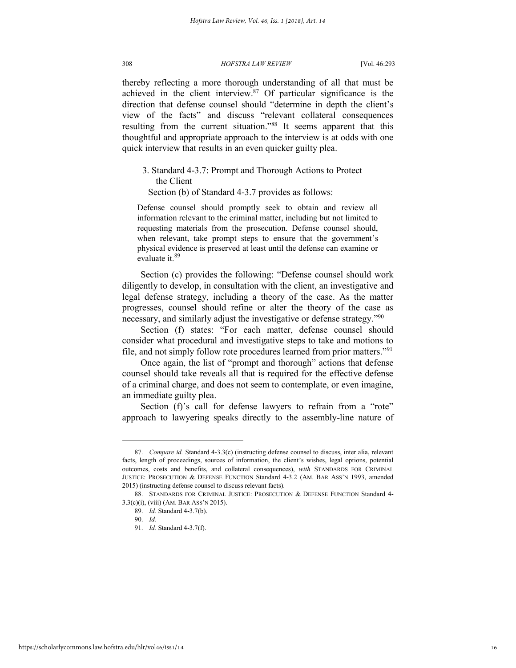thereby reflecting a more thorough understanding of all that must be achieved in the client interview.<sup>87</sup> Of particular significance is the direction that defense counsel should "determine in depth the client's view of the facts" and discuss "relevant collateral consequences resulting from the current situation."88 It seems apparent that this thoughtful and appropriate approach to the interview is at odds with one quick interview that results in an even quicker guilty plea.

3. Standard 4-3.7: Prompt and Thorough Actions to Protect the Client

Section (b) of Standard 4-3.7 provides as follows:

Defense counsel should promptly seek to obtain and review all information relevant to the criminal matter, including but not limited to requesting materials from the prosecution. Defense counsel should, when relevant, take prompt steps to ensure that the government's physical evidence is preserved at least until the defense can examine or evaluate it.<sup>89</sup>

Section (c) provides the following: "Defense counsel should work diligently to develop, in consultation with the client, an investigative and legal defense strategy, including a theory of the case. As the matter progresses, counsel should refine or alter the theory of the case as necessary, and similarly adjust the investigative or defense strategy."<sup>90</sup>

Section (f) states: "For each matter, defense counsel should consider what procedural and investigative steps to take and motions to file, and not simply follow rote procedures learned from prior matters."<sup>91</sup>

Once again, the list of "prompt and thorough" actions that defense counsel should take reveals all that is required for the effective defense of a criminal charge, and does not seem to contemplate, or even imagine, an immediate guilty plea.

Section (f)'s call for defense lawyers to refrain from a "rote" approach to lawyering speaks directly to the assembly-line nature of

<sup>87.</sup> *Compare id.* Standard 4-3.3(c) (instructing defense counsel to discuss, inter alia, relevant facts, length of proceedings, sources of information, the client's wishes, legal options, potential outcomes, costs and benefits, and collateral consequences), *with* STANDARDS FOR CRIMINAL JUSTICE: PROSECUTION & DEFENSE FUNCTION Standard 4-3.2 (AM. BAR ASS'N 1993, amended 2015) (instructing defense counsel to discuss relevant facts).

<sup>88.</sup> STANDARDS FOR CRIMINAL JUSTICE: PROSECUTION & DEFENSE FUNCTION Standard 4- 3.3(c)(i), (viii) (AM. BAR ASS'N 2015).

<sup>89.</sup> *Id.* Standard 4-3.7(b).

<sup>90.</sup> *Id.*

<sup>91.</sup> *Id.* Standard 4-3.7(f).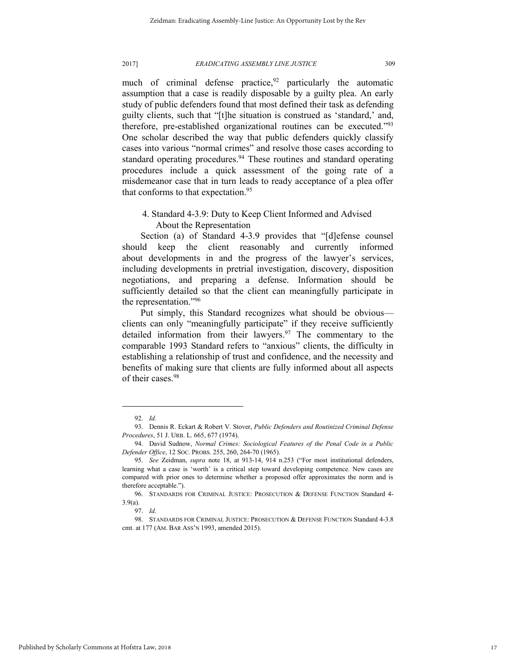much of criminal defense practice,  $92$  particularly the automatic assumption that a case is readily disposable by a guilty plea. An early study of public defenders found that most defined their task as defending guilty clients, such that "[t]he situation is construed as 'standard,' and, therefore, pre-established organizational routines can be executed."<sup>93</sup> One scholar described the way that public defenders quickly classify cases into various "normal crimes" and resolve those cases according to standard operating procedures.<sup>94</sup> These routines and standard operating procedures include a quick assessment of the going rate of a misdemeanor case that in turn leads to ready acceptance of a plea offer that conforms to that expectation.<sup>95</sup>

4. Standard 4-3.9: Duty to Keep Client Informed and Advised About the Representation

Section (a) of Standard 4-3.9 provides that "[d]efense counsel should keep the client reasonably and currently informed about developments in and the progress of the lawyer's services, including developments in pretrial investigation, discovery, disposition negotiations, and preparing a defense. Information should be sufficiently detailed so that the client can meaningfully participate in the representation."<sup>96</sup>

Put simply, this Standard recognizes what should be obvious clients can only "meaningfully participate" if they receive sufficiently detailed information from their lawyers. $97$  The commentary to the comparable 1993 Standard refers to "anxious" clients, the difficulty in establishing a relationship of trust and confidence, and the necessity and benefits of making sure that clients are fully informed about all aspects of their cases.<sup>98</sup>

<sup>92.</sup> *Id.* 

<sup>93.</sup> Dennis R. Eckart & Robert V. Stover, *Public Defenders and Routinized Criminal Defense Procedures*, 51 J. URB. L. 665, 677 (1974).

<sup>94.</sup> David Sudnow, *Normal Crimes: Sociological Features of the Penal Code in a Public Defender Office*, 12 SOC. PROBS. 255, 260, 264-70 (1965).

<sup>95.</sup> *See* Zeidman, *supra* note 18, at 913-14, 914 n.253 ("For most institutional defenders, learning what a case is 'worth' is a critical step toward developing competence. New cases are compared with prior ones to determine whether a proposed offer approximates the norm and is therefore acceptable.").

<sup>96.</sup> STANDARDS FOR CRIMINAL JUSTICE: PROSECUTION & DEFENSE FUNCTION Standard 4- 3.9(a).

<sup>97.</sup> *Id.*

<sup>98.</sup> STANDARDS FOR CRIMINAL JUSTICE: PROSECUTION & DEFENSE FUNCTION Standard 4-3.8 cmt. at 177 (AM. BAR ASS'N 1993, amended 2015).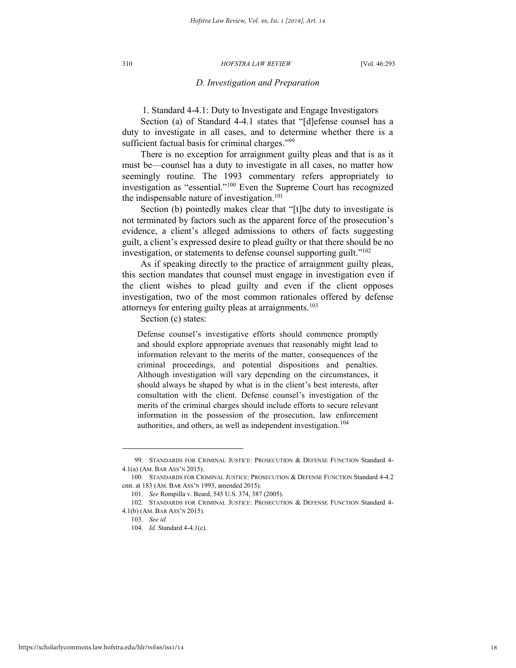#### *D. Investigation and Preparation*

1. Standard 4-4.1: Duty to Investigate and Engage Investigators

Section (a) of Standard 4-4.1 states that "[d]efense counsel has a duty to investigate in all cases, and to determine whether there is a sufficient factual basis for criminal charges."99

There is no exception for arraignment guilty pleas and that is as it must be—counsel has a duty to investigate in all cases, no matter how seemingly routine. The 1993 commentary refers appropriately to investigation as "essential."<sup>100</sup> Even the Supreme Court has recognized the indispensable nature of investigation. $101$ 

Section (b) pointedly makes clear that "[t]he duty to investigate is not terminated by factors such as the apparent force of the prosecution's evidence, a client's alleged admissions to others of facts suggesting guilt, a client's expressed desire to plead guilty or that there should be no investigation, or statements to defense counsel supporting guilt."<sup>102</sup>

As if speaking directly to the practice of arraignment guilty pleas, this section mandates that counsel must engage in investigation even if the client wishes to plead guilty and even if the client opposes investigation, two of the most common rationales offered by defense attorneys for entering guilty pleas at arraignments.<sup>103</sup>

Section (c) states:

Defense counsel's investigative efforts should commence promptly and should explore appropriate avenues that reasonably might lead to information relevant to the merits of the matter, consequences of the criminal proceedings, and potential dispositions and penalties. Although investigation will vary depending on the circumstances, it should always be shaped by what is in the client's best interests, after consultation with the client. Defense counsel's investigation of the merits of the criminal charges should include efforts to secure relevant information in the possession of the prosecution, law enforcement authorities, and others, as well as independent investigation.<sup>104</sup>

<sup>99.</sup> STANDARDS FOR CRIMINAL JUSTICE: PROSECUTION & DEFENSE FUNCTION Standard 4- 4.1(a) (AM. BAR ASS'N 2015).

<sup>100.</sup> STANDARDS FOR CRIMINAL JUSTICE: PROSECUTION & DEFENSE FUNCTION Standard 4-4.2 cmt. at 183 (AM. BAR ASS'N 1993, amended 2015).

<sup>101.</sup> *See* Rompilla v. Beard, 545 U.S. 374, 387 (2005).

<sup>102.</sup> STANDARDS FOR CRIMINAL JUSTICE: PROSECUTION & DEFENSE FUNCTION Standard 4- 4.1(b) (AM. BAR ASS'N 2015).

<sup>103.</sup> *See id.*

<sup>104.</sup> *Id.* Standard 4-4.1(c).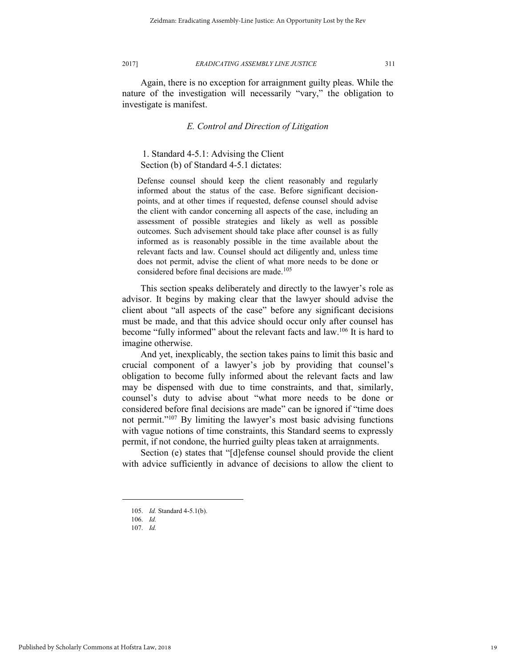Again, there is no exception for arraignment guilty pleas. While the nature of the investigation will necessarily "vary," the obligation to investigate is manifest.

#### *E. Control and Direction of Litigation*

# 1. Standard 4-5.1: Advising the Client Section (b) of Standard 4-5.1 dictates:

Defense counsel should keep the client reasonably and regularly informed about the status of the case. Before significant decisionpoints, and at other times if requested, defense counsel should advise the client with candor concerning all aspects of the case, including an assessment of possible strategies and likely as well as possible outcomes. Such advisement should take place after counsel is as fully informed as is reasonably possible in the time available about the relevant facts and law. Counsel should act diligently and, unless time does not permit, advise the client of what more needs to be done or considered before final decisions are made.<sup>105</sup>

This section speaks deliberately and directly to the lawyer's role as advisor. It begins by making clear that the lawyer should advise the client about "all aspects of the case" before any significant decisions must be made, and that this advice should occur only after counsel has become "fully informed" about the relevant facts and law.<sup>106</sup> It is hard to imagine otherwise.

And yet, inexplicably, the section takes pains to limit this basic and crucial component of a lawyer's job by providing that counsel's obligation to become fully informed about the relevant facts and law may be dispensed with due to time constraints, and that, similarly, counsel's duty to advise about "what more needs to be done or considered before final decisions are made" can be ignored if "time does not permit."<sup>107</sup> By limiting the lawyer's most basic advising functions with vague notions of time constraints, this Standard seems to expressly permit, if not condone, the hurried guilty pleas taken at arraignments.

Section (e) states that "[d]efense counsel should provide the client with advice sufficiently in advance of decisions to allow the client to

<sup>105.</sup> *Id.* Standard 4-5.1(b).

<sup>106.</sup> *Id.* 

<sup>107.</sup> *Id.*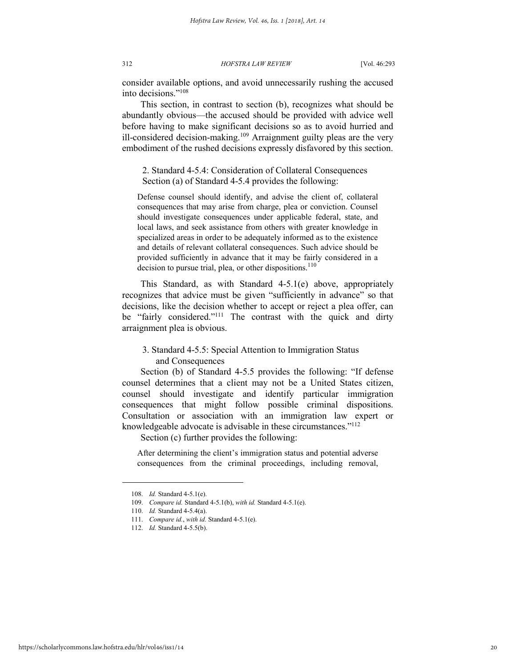consider available options, and avoid unnecessarily rushing the accused into decisions."<sup>108</sup>

This section, in contrast to section (b), recognizes what should be abundantly obvious—the accused should be provided with advice well before having to make significant decisions so as to avoid hurried and ill-considered decision-making.<sup>109</sup> Arraignment guilty pleas are the very embodiment of the rushed decisions expressly disfavored by this section.

2. Standard 4-5.4: Consideration of Collateral Consequences Section (a) of Standard 4-5.4 provides the following:

Defense counsel should identify, and advise the client of, collateral consequences that may arise from charge, plea or conviction. Counsel should investigate consequences under applicable federal, state, and local laws, and seek assistance from others with greater knowledge in specialized areas in order to be adequately informed as to the existence and details of relevant collateral consequences. Such advice should be provided sufficiently in advance that it may be fairly considered in a decision to pursue trial, plea, or other dispositions. $110$ 

This Standard, as with Standard 4-5.1(e) above, appropriately recognizes that advice must be given "sufficiently in advance" so that decisions, like the decision whether to accept or reject a plea offer, can be "fairly considered."<sup>111</sup> The contrast with the quick and dirty arraignment plea is obvious.

3. Standard 4-5.5: Special Attention to Immigration Status and Consequences

Section (b) of Standard 4-5.5 provides the following: "If defense counsel determines that a client may not be a United States citizen, counsel should investigate and identify particular immigration consequences that might follow possible criminal dispositions. Consultation or association with an immigration law expert or knowledgeable advocate is advisable in these circumstances."<sup>112</sup>

Section (c) further provides the following:

After determining the client's immigration status and potential adverse consequences from the criminal proceedings, including removal,

<sup>108.</sup> *Id.* Standard 4-5.1(e).

<sup>109.</sup> *Compare id.* Standard 4-5.1(b), *with id.* Standard 4-5.1(e).

<sup>110.</sup> *Id.* Standard 4-5.4(a).

<sup>111.</sup> *Compare id.*, *with id.* Standard 4-5.1(e).

<sup>112.</sup> *Id.* Standard 4-5.5(b).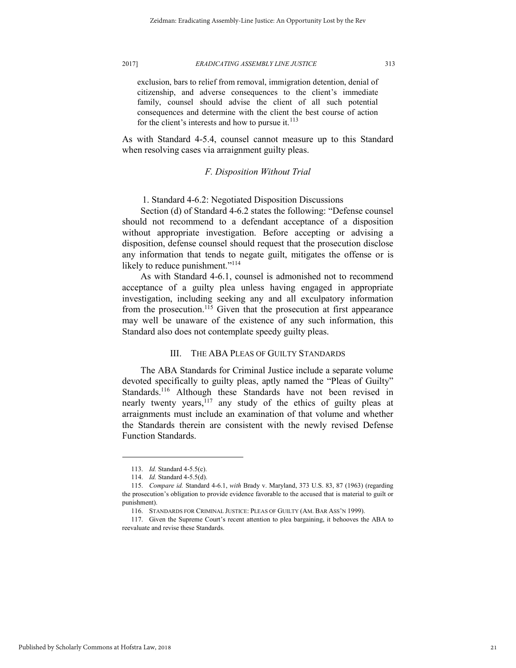exclusion, bars to relief from removal, immigration detention, denial of citizenship, and adverse consequences to the client's immediate family, counsel should advise the client of all such potential consequences and determine with the client the best course of action for the client's interests and how to pursue it. $^{113}$ 

As with Standard 4-5.4, counsel cannot measure up to this Standard when resolving cases via arraignment guilty pleas.

## *F. Disposition Without Trial*

1. Standard 4-6.2: Negotiated Disposition Discussions

Section (d) of Standard 4-6.2 states the following: "Defense counsel should not recommend to a defendant acceptance of a disposition without appropriate investigation. Before accepting or advising a disposition, defense counsel should request that the prosecution disclose any information that tends to negate guilt, mitigates the offense or is likely to reduce punishment."<sup>114</sup>

As with Standard 4-6.1, counsel is admonished not to recommend acceptance of a guilty plea unless having engaged in appropriate investigation, including seeking any and all exculpatory information from the prosecution.<sup>115</sup> Given that the prosecution at first appearance may well be unaware of the existence of any such information, this Standard also does not contemplate speedy guilty pleas.

# III. THE ABA PLEAS OF GUILTY STANDARDS

The ABA Standards for Criminal Justice include a separate volume devoted specifically to guilty pleas, aptly named the "Pleas of Guilty" Standards.<sup>116</sup> Although these Standards have not been revised in nearly twenty years,<sup>117</sup> any study of the ethics of guilty pleas at arraignments must include an examination of that volume and whether the Standards therein are consistent with the newly revised Defense Function Standards.

<sup>113.</sup> *Id.* Standard 4-5.5(c).

<sup>114.</sup> *Id.* Standard 4-5.5(d).

<sup>115.</sup> *Compare id.* Standard 4-6.1, *with* Brady v. Maryland, 373 U.S. 83, 87 (1963) (regarding the prosecution's obligation to provide evidence favorable to the accused that is material to guilt or punishment).

<sup>116.</sup> STANDARDS FOR CRIMINAL JUSTICE: PLEAS OF GUILTY (AM. BAR ASS'N 1999).

<sup>117.</sup> Given the Supreme Court's recent attention to plea bargaining, it behooves the ABA to reevaluate and revise these Standards.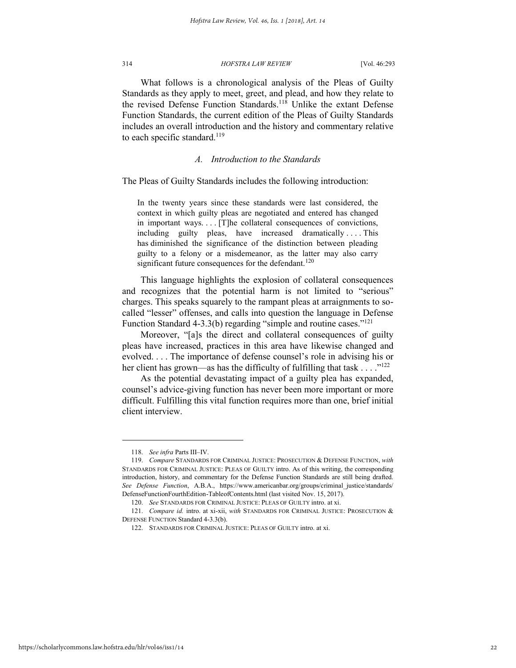What follows is a chronological analysis of the Pleas of Guilty Standards as they apply to meet, greet, and plead, and how they relate to the revised Defense Function Standards.<sup>118</sup> Unlike the extant Defense Function Standards, the current edition of the Pleas of Guilty Standards includes an overall introduction and the history and commentary relative to each specific standard.<sup>119</sup>

#### *A. Introduction to the Standards*

The Pleas of Guilty Standards includes the following introduction:

In the twenty years since these standards were last considered, the context in which guilty pleas are negotiated and entered has changed in important ways. . . . [T]he collateral consequences of convictions, including guilty pleas, have increased dramatically . . . . This has diminished the significance of the distinction between pleading guilty to a felony or a misdemeanor, as the latter may also carry significant future consequences for the defendant.<sup>120</sup>

This language highlights the explosion of collateral consequences and recognizes that the potential harm is not limited to "serious" charges. This speaks squarely to the rampant pleas at arraignments to socalled "lesser" offenses, and calls into question the language in Defense Function Standard 4-3.3(b) regarding "simple and routine cases."<sup>121</sup>

Moreover, "[a]s the direct and collateral consequences of guilty pleas have increased, practices in this area have likewise changed and evolved. . . . The importance of defense counsel's role in advising his or her client has grown—as has the difficulty of fulfilling that task  $\dots$ ."<sup>122</sup>

 As the potential devastating impact of a guilty plea has expanded, counsel's advice-giving function has never been more important or more difficult. Fulfilling this vital function requires more than one, brief initial client interview.

<sup>118.</sup> *See infra* Parts III–IV.

<sup>119.</sup> *Compare* STANDARDS FOR CRIMINAL JUSTICE: PROSECUTION & DEFENSE FUNCTION, *with*  STANDARDS FOR CRIMINAL JUSTICE: PLEAS OF GUILTY intro. As of this writing, the corresponding introduction, history, and commentary for the Defense Function Standards are still being drafted. *See Defense Function*, A.B.A., https://www.americanbar.org/groups/criminal\_justice/standards/ DefenseFunctionFourthEdition-TableofContents.html (last visited Nov. 15, 2017).

<sup>120.</sup> *See* STANDARDS FOR CRIMINAL JUSTICE: PLEAS OF GUILTY intro. at xi.

<sup>121.</sup> *Compare id.* intro. at xi-xii, *with* STANDARDS FOR CRIMINAL JUSTICE: PROSECUTION & DEFENSE FUNCTION Standard 4-3.3(b).

<sup>122.</sup> STANDARDS FOR CRIMINAL JUSTICE: PLEAS OF GUILTY intro. at xi.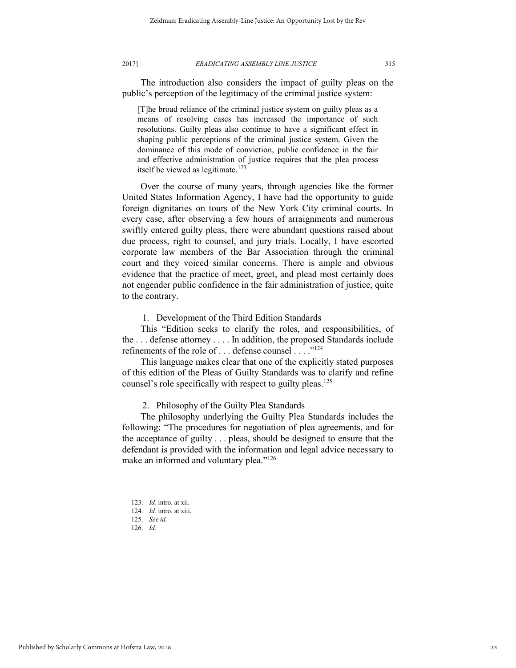The introduction also considers the impact of guilty pleas on the public's perception of the legitimacy of the criminal justice system:

[T]he broad reliance of the criminal justice system on guilty pleas as a means of resolving cases has increased the importance of such resolutions. Guilty pleas also continue to have a significant effect in shaping public perceptions of the criminal justice system. Given the dominance of this mode of conviction, public confidence in the fair and effective administration of justice requires that the plea process itself be viewed as legitimate.<sup>123</sup>

Over the course of many years, through agencies like the former United States Information Agency, I have had the opportunity to guide foreign dignitaries on tours of the New York City criminal courts. In every case, after observing a few hours of arraignments and numerous swiftly entered guilty pleas, there were abundant questions raised about due process, right to counsel, and jury trials. Locally, I have escorted corporate law members of the Bar Association through the criminal court and they voiced similar concerns. There is ample and obvious evidence that the practice of meet, greet, and plead most certainly does not engender public confidence in the fair administration of justice, quite to the contrary.

1. Development of the Third Edition Standards

This "Edition seeks to clarify the roles, and responsibilities, of the . . . defense attorney . . . . In addition, the proposed Standards include refinements of the role of ... defense counsel ... ."<sup>124</sup>

This language makes clear that one of the explicitly stated purposes of this edition of the Pleas of Guilty Standards was to clarify and refine counsel's role specifically with respect to guilty pleas.<sup>125</sup>

2. Philosophy of the Guilty Plea Standards

The philosophy underlying the Guilty Plea Standards includes the following: "The procedures for negotiation of plea agreements, and for the acceptance of guilty . . . pleas, should be designed to ensure that the defendant is provided with the information and legal advice necessary to make an informed and voluntary plea."<sup>126</sup>

<sup>123.</sup> *Id.* intro. at xii.

<sup>124.</sup> *Id.* intro. at xiii.

<sup>125.</sup> *See id.* 

<sup>126.</sup> *Id.*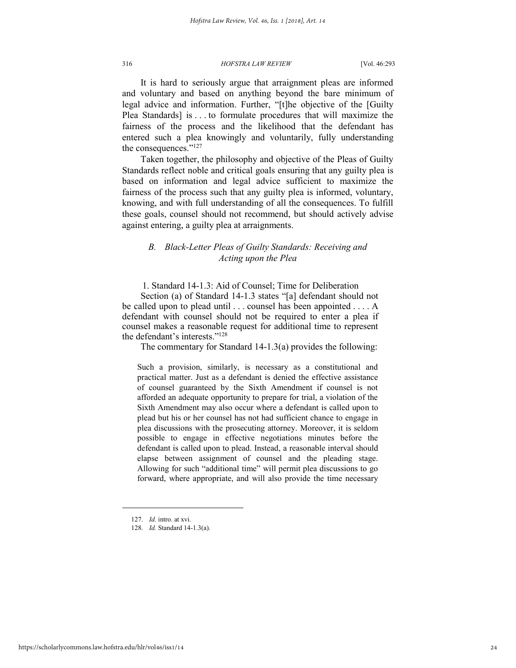It is hard to seriously argue that arraignment pleas are informed and voluntary and based on anything beyond the bare minimum of legal advice and information. Further, "[t]he objective of the [Guilty Plea Standards] is . . . to formulate procedures that will maximize the fairness of the process and the likelihood that the defendant has entered such a plea knowingly and voluntarily, fully understanding the consequences."<sup>127</sup>

Taken together, the philosophy and objective of the Pleas of Guilty Standards reflect noble and critical goals ensuring that any guilty plea is based on information and legal advice sufficient to maximize the fairness of the process such that any guilty plea is informed, voluntary, knowing, and with full understanding of all the consequences. To fulfill these goals, counsel should not recommend, but should actively advise against entering, a guilty plea at arraignments.

# *B. Black-Letter Pleas of Guilty Standards: Receiving and Acting upon the Plea*

1. Standard 14-1.3: Aid of Counsel; Time for Deliberation

Section (a) of Standard 14-1.3 states "[a] defendant should not be called upon to plead until . . . counsel has been appointed . . . . A defendant with counsel should not be required to enter a plea if counsel makes a reasonable request for additional time to represent the defendant's interests." 128

The commentary for Standard 14-1.3(a) provides the following:

Such a provision, similarly, is necessary as a constitutional and practical matter. Just as a defendant is denied the effective assistance of counsel guaranteed by the Sixth Amendment if counsel is not afforded an adequate opportunity to prepare for trial, a violation of the Sixth Amendment may also occur where a defendant is called upon to plead but his or her counsel has not had sufficient chance to engage in plea discussions with the prosecuting attorney. Moreover, it is seldom possible to engage in effective negotiations minutes before the defendant is called upon to plead. Instead, a reasonable interval should elapse between assignment of counsel and the pleading stage. Allowing for such "additional time" will permit plea discussions to go forward, where appropriate, and will also provide the time necessary

<sup>127.</sup> *Id.* intro. at xvi.

<sup>128.</sup> *Id.* Standard 14-1.3(a).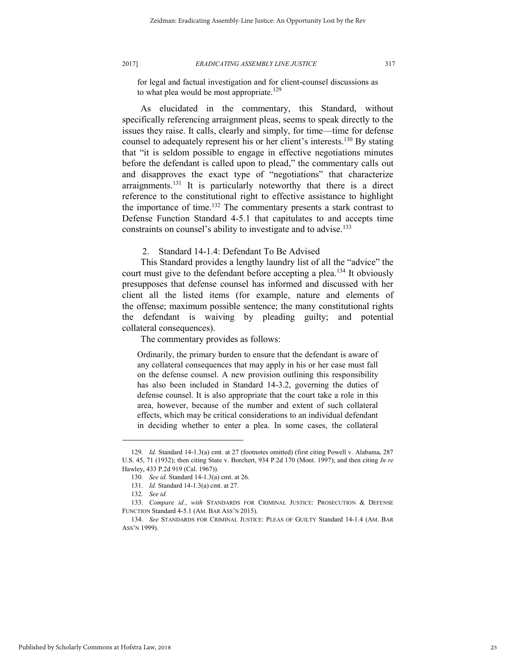for legal and factual investigation and for client-counsel discussions as to what plea would be most appropriate.<sup>129</sup>

As elucidated in the commentary, this Standard, without specifically referencing arraignment pleas, seems to speak directly to the issues they raise. It calls, clearly and simply, for time—time for defense counsel to adequately represent his or her client's interests.<sup>130</sup> By stating that "it is seldom possible to engage in effective negotiations minutes before the defendant is called upon to plead," the commentary calls out and disapproves the exact type of "negotiations" that characterize arraignments.<sup>131</sup> It is particularly noteworthy that there is a direct reference to the constitutional right to effective assistance to highlight the importance of time.<sup>132</sup> The commentary presents a stark contrast to Defense Function Standard 4-5.1 that capitulates to and accepts time constraints on counsel's ability to investigate and to advise.<sup>133</sup>

2. Standard 14-1.4: Defendant To Be Advised

This Standard provides a lengthy laundry list of all the "advice" the court must give to the defendant before accepting a plea.<sup>134</sup> It obviously presupposes that defense counsel has informed and discussed with her client all the listed items (for example, nature and elements of the offense; maximum possible sentence; the many constitutional rights the defendant is waiving by pleading guilty; and potential collateral consequences).

The commentary provides as follows:

Ordinarily, the primary burden to ensure that the defendant is aware of any collateral consequences that may apply in his or her case must fall on the defense counsel. A new provision outlining this responsibility has also been included in Standard 14-3.2, governing the duties of defense counsel. It is also appropriate that the court take a role in this area, however, because of the number and extent of such collateral effects, which may be critical considerations to an individual defendant in deciding whether to enter a plea. In some cases, the collateral

<sup>129.</sup> *Id.* Standard 14-1.3(a) cmt. at 27 (footnotes omitted) (first citing Powell v. Alabama, 287 U.S. 45, 71 (1932); then citing State v. Borchert, 934 P.2d 170 (Mont. 1997); and then citing *In re*  Hawley, 433 P.2d 919 (Cal. 1967)).

<sup>130.</sup> *See id.* Standard 14-1.3(a) cmt. at 26.

<sup>131.</sup> *Id.* Standard 14-1.3(a) cmt. at 27.

<sup>132.</sup> *See id.*

<sup>133.</sup> *Compare id.*, *with* STANDARDS FOR CRIMINAL JUSTICE: PROSECUTION & DEFENSE FUNCTION Standard 4-5.1 (AM. BAR ASS'N 2015).

<sup>134.</sup> *See* STANDARDS FOR CRIMINAL JUSTICE: PLEAS OF GUILTY Standard 14-1.4 (AM. BAR ASS'N 1999).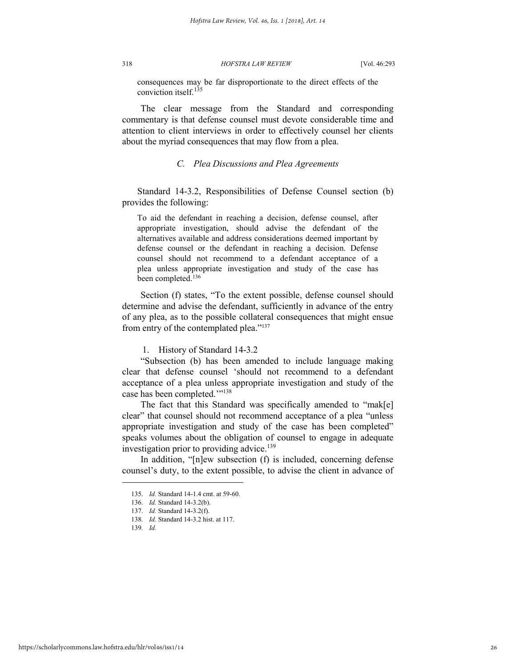consequences may be far disproportionate to the direct effects of the conviction itself.<sup>135</sup>

The clear message from the Standard and corresponding commentary is that defense counsel must devote considerable time and attention to client interviews in order to effectively counsel her clients about the myriad consequences that may flow from a plea.

## *C. Plea Discussions and Plea Agreements*

 Standard 14-3.2, Responsibilities of Defense Counsel section (b) provides the following:

To aid the defendant in reaching a decision, defense counsel, after appropriate investigation, should advise the defendant of the alternatives available and address considerations deemed important by defense counsel or the defendant in reaching a decision. Defense counsel should not recommend to a defendant acceptance of a plea unless appropriate investigation and study of the case has been completed.<sup>136</sup>

Section (f) states, "To the extent possible, defense counsel should determine and advise the defendant, sufficiently in advance of the entry of any plea, as to the possible collateral consequences that might ensue from entry of the contemplated plea."<sup>137</sup>

1. History of Standard 14-3.2

"Subsection (b) has been amended to include language making clear that defense counsel 'should not recommend to a defendant acceptance of a plea unless appropriate investigation and study of the case has been completed.""<sup>138</sup>

The fact that this Standard was specifically amended to "mak[e] clear" that counsel should not recommend acceptance of a plea "unless appropriate investigation and study of the case has been completed" speaks volumes about the obligation of counsel to engage in adequate investigation prior to providing advice.<sup>139</sup>

In addition, "[n]ew subsection (f) is included, concerning defense counsel's duty, to the extent possible, to advise the client in advance of

139. *Id.*

<sup>135.</sup> *Id.* Standard 14-1.4 cmt. at 59-60.

<sup>136.</sup> *Id.* Standard 14-3.2(b).

<sup>137.</sup> *Id.* Standard 14-3.2(f).

<sup>138.</sup> *Id.* Standard 14-3.2 hist. at 117.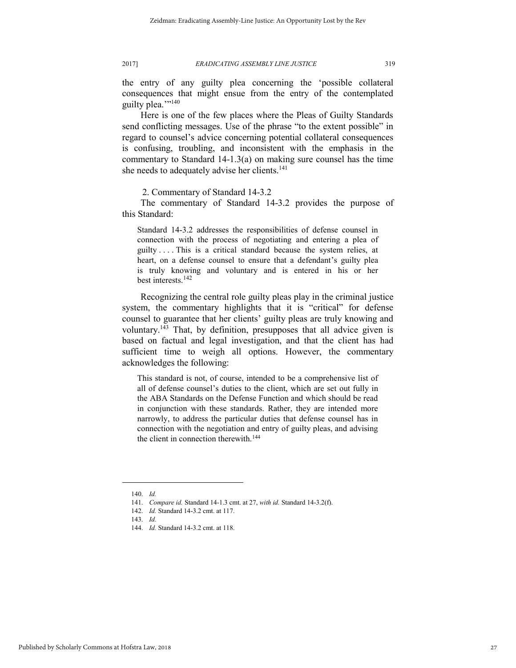the entry of any guilty plea concerning the 'possible collateral consequences that might ensue from the entry of the contemplated guilty plea."<sup>140</sup>

Here is one of the few places where the Pleas of Guilty Standards send conflicting messages. Use of the phrase "to the extent possible" in regard to counsel's advice concerning potential collateral consequences is confusing, troubling, and inconsistent with the emphasis in the commentary to Standard 14-1.3(a) on making sure counsel has the time she needs to adequately advise her clients.<sup>141</sup>

2. Commentary of Standard 14-3.2

The commentary of Standard 14-3.2 provides the purpose of this Standard:

Standard 14-3.2 addresses the responsibilities of defense counsel in connection with the process of negotiating and entering a plea of guilty . . . . This is a critical standard because the system relies, at heart, on a defense counsel to ensure that a defendant's guilty plea is truly knowing and voluntary and is entered in his or her best interests.<sup>142</sup>

Recognizing the central role guilty pleas play in the criminal justice system, the commentary highlights that it is "critical" for defense counsel to guarantee that her clients' guilty pleas are truly knowing and voluntary.<sup>143</sup> That, by definition, presupposes that all advice given is based on factual and legal investigation, and that the client has had sufficient time to weigh all options. However, the commentary acknowledges the following:

This standard is not, of course, intended to be a comprehensive list of all of defense counsel's duties to the client, which are set out fully in the ABA Standards on the Defense Function and which should be read in conjunction with these standards. Rather, they are intended more narrowly, to address the particular duties that defense counsel has in connection with the negotiation and entry of guilty pleas, and advising the client in connection therewith.<sup>144</sup>

<sup>140.</sup> *Id.*

<sup>141.</sup> *Compare id.* Standard 14-1.3 cmt. at 27, *with id.* Standard 14-3.2(f).

<sup>142.</sup> *Id.* Standard 14-3.2 cmt. at 117.

<sup>143.</sup> *Id.*

<sup>144.</sup> *Id.* Standard 14-3.2 cmt. at 118.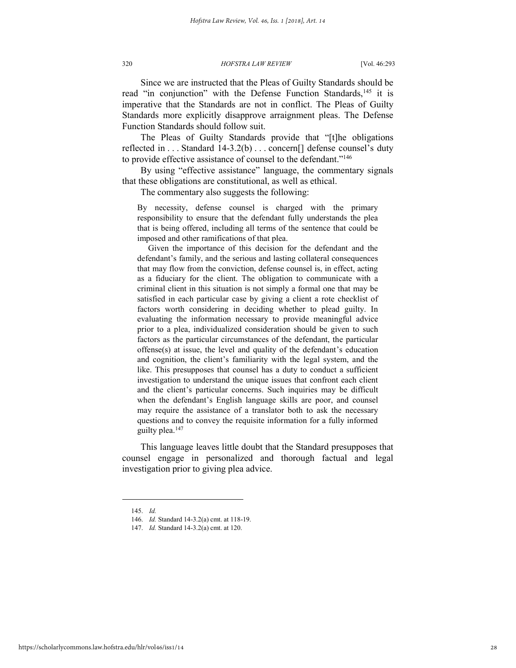Since we are instructed that the Pleas of Guilty Standards should be read "in conjunction" with the Defense Function Standards,<sup>145</sup> it is imperative that the Standards are not in conflict. The Pleas of Guilty Standards more explicitly disapprove arraignment pleas. The Defense Function Standards should follow suit.

The Pleas of Guilty Standards provide that "[t]he obligations reflected in . . . Standard 14-3.2(b) . . . concern[] defense counsel's duty to provide effective assistance of counsel to the defendant."<sup>146</sup>

By using "effective assistance" language, the commentary signals that these obligations are constitutional, as well as ethical.

The commentary also suggests the following:

By necessity, defense counsel is charged with the primary responsibility to ensure that the defendant fully understands the plea that is being offered, including all terms of the sentence that could be imposed and other ramifications of that plea.

 Given the importance of this decision for the defendant and the defendant's family, and the serious and lasting collateral consequences that may flow from the conviction, defense counsel is, in effect, acting as a fiduciary for the client. The obligation to communicate with a criminal client in this situation is not simply a formal one that may be satisfied in each particular case by giving a client a rote checklist of factors worth considering in deciding whether to plead guilty. In evaluating the information necessary to provide meaningful advice prior to a plea, individualized consideration should be given to such factors as the particular circumstances of the defendant, the particular offense(s) at issue, the level and quality of the defendant's education and cognition, the client's familiarity with the legal system, and the like. This presupposes that counsel has a duty to conduct a sufficient investigation to understand the unique issues that confront each client and the client's particular concerns. Such inquiries may be difficult when the defendant's English language skills are poor, and counsel may require the assistance of a translator both to ask the necessary questions and to convey the requisite information for a fully informed guilty plea.<sup>147</sup>

This language leaves little doubt that the Standard presupposes that counsel engage in personalized and thorough factual and legal investigation prior to giving plea advice.

<sup>145.</sup> *Id.*

<sup>146.</sup> *Id.* Standard 14-3.2(a) cmt. at 118-19.

<sup>147.</sup> *Id.* Standard 14-3.2(a) cmt. at 120.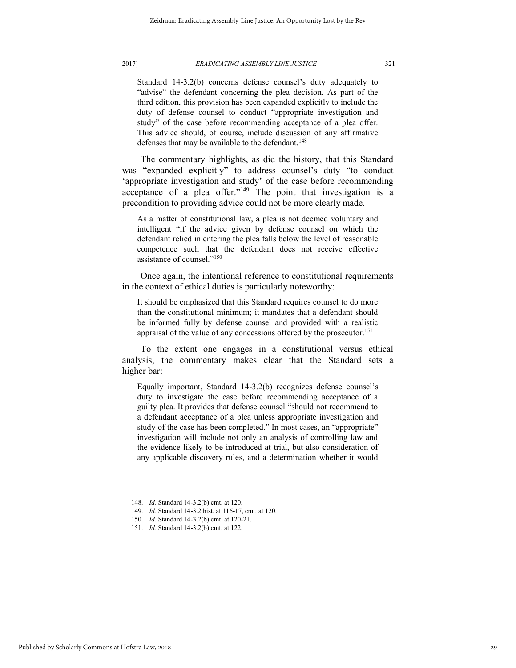Standard 14-3.2(b) concerns defense counsel's duty adequately to "advise" the defendant concerning the plea decision. As part of the third edition, this provision has been expanded explicitly to include the duty of defense counsel to conduct "appropriate investigation and study" of the case before recommending acceptance of a plea offer. This advice should, of course, include discussion of any affirmative defenses that may be available to the defendant.<sup>148</sup>

The commentary highlights, as did the history, that this Standard was "expanded explicitly" to address counsel's duty "to conduct 'appropriate investigation and study' of the case before recommending acceptance of a plea offer." $149$  The point that investigation is a precondition to providing advice could not be more clearly made.

As a matter of constitutional law, a plea is not deemed voluntary and intelligent "if the advice given by defense counsel on which the defendant relied in entering the plea falls below the level of reasonable competence such that the defendant does not receive effective assistance of counsel." 150

Once again, the intentional reference to constitutional requirements in the context of ethical duties is particularly noteworthy:

It should be emphasized that this Standard requires counsel to do more than the constitutional minimum; it mandates that a defendant should be informed fully by defense counsel and provided with a realistic appraisal of the value of any concessions offered by the prosecutor.<sup>151</sup>

To the extent one engages in a constitutional versus ethical analysis, the commentary makes clear that the Standard sets a higher bar:

Equally important, Standard 14-3.2(b) recognizes defense counsel's duty to investigate the case before recommending acceptance of a guilty plea. It provides that defense counsel "should not recommend to a defendant acceptance of a plea unless appropriate investigation and study of the case has been completed." In most cases, an "appropriate" investigation will include not only an analysis of controlling law and the evidence likely to be introduced at trial, but also consideration of any applicable discovery rules, and a determination whether it would

<sup>148.</sup> *Id.* Standard 14-3.2(b) cmt. at 120.

<sup>149.</sup> *Id.* Standard 14-3.2 hist. at 116-17, cmt. at 120.

<sup>150.</sup> *Id.* Standard 14-3.2(b) cmt. at 120-21.

<sup>151.</sup> *Id.* Standard 14-3.2(b) cmt. at 122.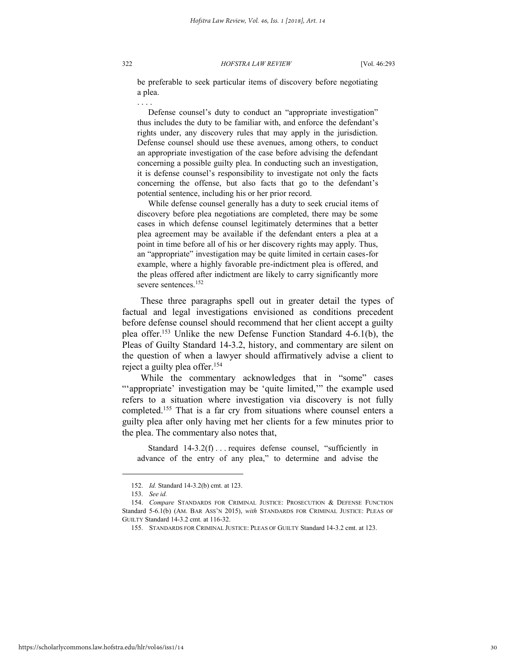. . . .

be preferable to seek particular items of discovery before negotiating a plea.

 Defense counsel's duty to conduct an "appropriate investigation" thus includes the duty to be familiar with, and enforce the defendant's rights under, any discovery rules that may apply in the jurisdiction. Defense counsel should use these avenues, among others, to conduct an appropriate investigation of the case before advising the defendant concerning a possible guilty plea. In conducting such an investigation, it is defense counsel's responsibility to investigate not only the facts concerning the offense, but also facts that go to the defendant's potential sentence, including his or her prior record.

 While defense counsel generally has a duty to seek crucial items of discovery before plea negotiations are completed, there may be some cases in which defense counsel legitimately determines that a better plea agreement may be available if the defendant enters a plea at a point in time before all of his or her discovery rights may apply. Thus, an "appropriate" investigation may be quite limited in certain cases-for example, where a highly favorable pre-indictment plea is offered, and the pleas offered after indictment are likely to carry significantly more severe sentences.<sup>152</sup>

These three paragraphs spell out in greater detail the types of factual and legal investigations envisioned as conditions precedent before defense counsel should recommend that her client accept a guilty plea offer.<sup>153</sup> Unlike the new Defense Function Standard 4-6.1(b), the Pleas of Guilty Standard 14-3.2, history, and commentary are silent on the question of when a lawyer should affirmatively advise a client to reject a guilty plea offer.<sup>154</sup>

While the commentary acknowledges that in "some" cases ""appropriate' investigation may be 'quite limited," the example used refers to a situation where investigation via discovery is not fully completed.<sup>155</sup> That is a far cry from situations where counsel enters a guilty plea after only having met her clients for a few minutes prior to the plea. The commentary also notes that,

Standard 14-3.2(f)... requires defense counsel, "sufficiently in advance of the entry of any plea," to determine and advise the

l

https://scholarlycommons.law.hofstra.edu/hlr/vol46/iss1/14

<sup>152.</sup> *Id.* Standard 14-3.2(b) cmt. at 123.

<sup>153.</sup> *See id.*

<sup>154.</sup> *Compare* STANDARDS FOR CRIMINAL JUSTICE: PROSECUTION & DEFENSE FUNCTION Standard 5-6.1(b) (AM. BAR ASS'N 2015), *with* STANDARDS FOR CRIMINAL JUSTICE: PLEAS OF GUILTY Standard 14-3.2 cmt. at 116-32.

<sup>155.</sup> STANDARDS FOR CRIMINAL JUSTICE: PLEAS OF GUILTY Standard 14-3.2 cmt. at 123.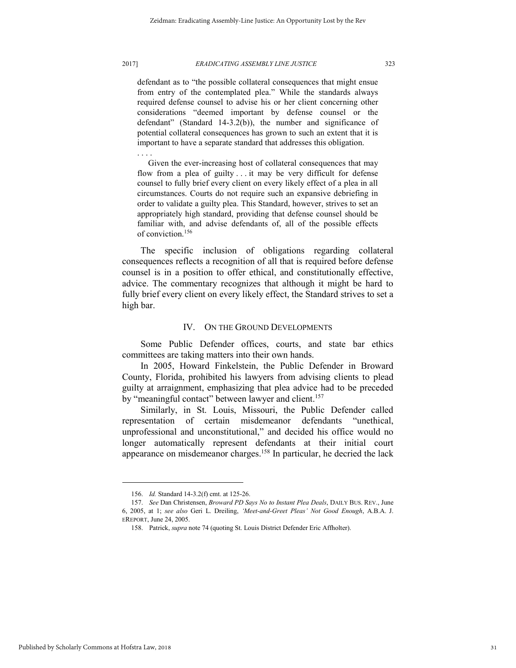defendant as to "the possible collateral consequences that might ensue from entry of the contemplated plea." While the standards always required defense counsel to advise his or her client concerning other considerations "deemed important by defense counsel or the defendant" (Standard 14-3.2(b)), the number and significance of potential collateral consequences has grown to such an extent that it is important to have a separate standard that addresses this obligation.

. . . . Given the ever-increasing host of collateral consequences that may flow from a plea of guilty . . . it may be very difficult for defense counsel to fully brief every client on every likely effect of a plea in all circumstances. Courts do not require such an expansive debriefing in order to validate a guilty plea. This Standard, however, strives to set an appropriately high standard, providing that defense counsel should be familiar with, and advise defendants of, all of the possible effects of conviction.<sup>156</sup>

The specific inclusion of obligations regarding collateral consequences reflects a recognition of all that is required before defense counsel is in a position to offer ethical, and constitutionally effective, advice. The commentary recognizes that although it might be hard to fully brief every client on every likely effect, the Standard strives to set a high bar.

#### IV. ON THE GROUND DEVELOPMENTS

Some Public Defender offices, courts, and state bar ethics committees are taking matters into their own hands.

In 2005, Howard Finkelstein, the Public Defender in Broward County, Florida, prohibited his lawyers from advising clients to plead guilty at arraignment, emphasizing that plea advice had to be preceded by "meaningful contact" between lawyer and client.<sup>157</sup>

Similarly, in St. Louis, Missouri, the Public Defender called representation of certain misdemeanor defendants "unethical, unprofessional and unconstitutional," and decided his office would no longer automatically represent defendants at their initial court appearance on misdemeanor charges.<sup>158</sup> In particular, he decried the lack

<sup>156.</sup> *Id.* Standard 14-3.2(f) cmt. at 125-26.

<sup>157.</sup> *See* Dan Christensen, *Broward PD Says No to Instant Plea Deals*, DAILY BUS. REV., June 6, 2005, at 1; *see also* Geri L. Dreiling, *'Meet-and-Greet Pleas' Not Good Enough*, A.B.A. J. EREPORT, June 24, 2005.

<sup>158.</sup> Patrick, *supra* note 74 (quoting St. Louis District Defender Eric Affholter).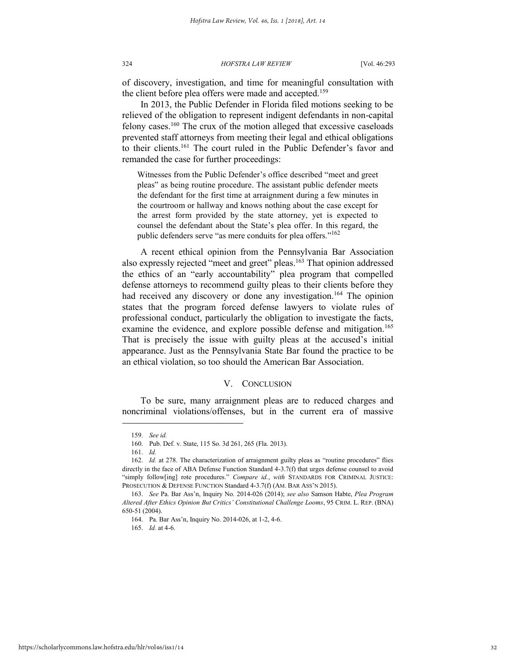of discovery, investigation, and time for meaningful consultation with the client before plea offers were made and accepted.<sup>159</sup>

In 2013, the Public Defender in Florida filed motions seeking to be relieved of the obligation to represent indigent defendants in non-capital felony cases.<sup>160</sup> The crux of the motion alleged that excessive caseloads prevented staff attorneys from meeting their legal and ethical obligations to their clients.<sup>161</sup> The court ruled in the Public Defender's favor and remanded the case for further proceedings:

Witnesses from the Public Defender's office described "meet and greet pleas" as being routine procedure. The assistant public defender meets the defendant for the first time at arraignment during a few minutes in the courtroom or hallway and knows nothing about the case except for the arrest form provided by the state attorney, yet is expected to counsel the defendant about the State's plea offer. In this regard, the public defenders serve "as mere conduits for plea offers."<sup>162</sup>

A recent ethical opinion from the Pennsylvania Bar Association also expressly rejected "meet and greet" pleas.<sup>163</sup> That opinion addressed the ethics of an "early accountability" plea program that compelled defense attorneys to recommend guilty pleas to their clients before they had received any discovery or done any investigation.<sup>164</sup> The opinion states that the program forced defense lawyers to violate rules of professional conduct, particularly the obligation to investigate the facts, examine the evidence, and explore possible defense and mitigation.<sup>165</sup> That is precisely the issue with guilty pleas at the accused's initial appearance. Just as the Pennsylvania State Bar found the practice to be an ethical violation, so too should the American Bar Association.

#### V. CONCLUSION

To be sure, many arraignment pleas are to reduced charges and noncriminal violations/offenses, but in the current era of massive

<sup>159.</sup> *See id.*

<sup>160.</sup> Pub. Def. v. State, 115 So. 3d 261, 265 (Fla. 2013).

<sup>161.</sup> *Id.* 

<sup>162.</sup> *Id.* at 278. The characterization of arraignment guilty pleas as "routine procedures" flies directly in the face of ABA Defense Function Standard 4-3.7(f) that urges defense counsel to avoid "simply follow[ing] rote procedures." *Compare id.*, *with* STANDARDS FOR CRIMINAL JUSTICE: PROSECUTION & DEFENSE FUNCTION Standard 4-3.7(f) (AM. BAR ASS'N 2015).

<sup>163.</sup> *See* Pa. Bar Ass'n, Inquiry No. 2014-026 (2014); *see also* Samson Habte, *Plea Program Altered After Ethics Opinion But Critics' Constitutional Challenge Looms*, 95 CRIM. L. REP. (BNA) 650-51 (2004).

<sup>164.</sup> Pa. Bar Ass'n, Inquiry No. 2014-026, at 1-2, 4-6.

<sup>165.</sup> *Id.* at 4-6.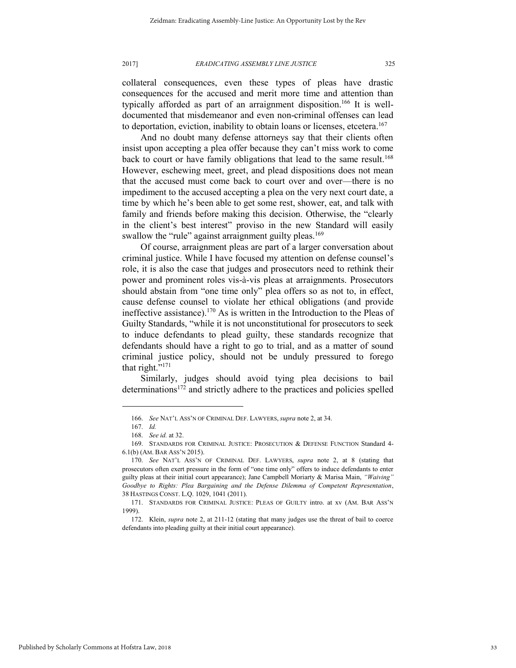collateral consequences, even these types of pleas have drastic consequences for the accused and merit more time and attention than typically afforded as part of an arraignment disposition.<sup>166</sup> It is welldocumented that misdemeanor and even non-criminal offenses can lead to deportation, eviction, inability to obtain loans or licenses, etcetera.<sup>167</sup>

And no doubt many defense attorneys say that their clients often insist upon accepting a plea offer because they can't miss work to come back to court or have family obligations that lead to the same result.<sup>168</sup> However, eschewing meet, greet, and plead dispositions does not mean that the accused must come back to court over and over—there is no impediment to the accused accepting a plea on the very next court date, a time by which he's been able to get some rest, shower, eat, and talk with family and friends before making this decision. Otherwise, the "clearly in the client's best interest" proviso in the new Standard will easily swallow the "rule" against arraignment guilty pleas.<sup>169</sup>

Of course, arraignment pleas are part of a larger conversation about criminal justice. While I have focused my attention on defense counsel's role, it is also the case that judges and prosecutors need to rethink their power and prominent roles vis-à-vis pleas at arraignments. Prosecutors should abstain from "one time only" plea offers so as not to, in effect, cause defense counsel to violate her ethical obligations (and provide ineffective assistance).<sup>170</sup> As is written in the Introduction to the Pleas of Guilty Standards, "while it is not unconstitutional for prosecutors to seek to induce defendants to plead guilty, these standards recognize that defendants should have a right to go to trial, and as a matter of sound criminal justice policy, should not be unduly pressured to forego that right." 171

Similarly, judges should avoid tying plea decisions to bail determinations<sup>172</sup> and strictly adhere to the practices and policies spelled

<sup>166.</sup> *See* NAT'L ASS'N OF CRIMINAL DEF. LAWYERS, *supra* note 2, at 34.

<sup>167.</sup> *Id.*

<sup>168.</sup> *See id.* at 32.

<sup>169.</sup> STANDARDS FOR CRIMINAL JUSTICE: PROSECUTION & DEFENSE FUNCTION Standard 4- 6.1(b) (AM. BAR ASS'N 2015).

<sup>170.</sup> *See* NAT'L ASS'N OF CRIMINAL DEF. LAWYERS, *supra* note 2, at 8 (stating that prosecutors often exert pressure in the form of "one time only" offers to induce defendants to enter guilty pleas at their initial court appearance); Jane Campbell Moriarty & Marisa Main, *"Waiving" Goodbye to Rights: Plea Bargaining and the Defense Dilemma of Competent Representation*, 38 HASTINGS CONST. L.Q. 1029, 1041 (2011).

<sup>171.</sup> STANDARDS FOR CRIMINAL JUSTICE: PLEAS OF GUILTY intro. at xv (AM. BAR ASS'N 1999).

<sup>172.</sup> Klein, *supra* note 2, at 211-12 (stating that many judges use the threat of bail to coerce defendants into pleading guilty at their initial court appearance).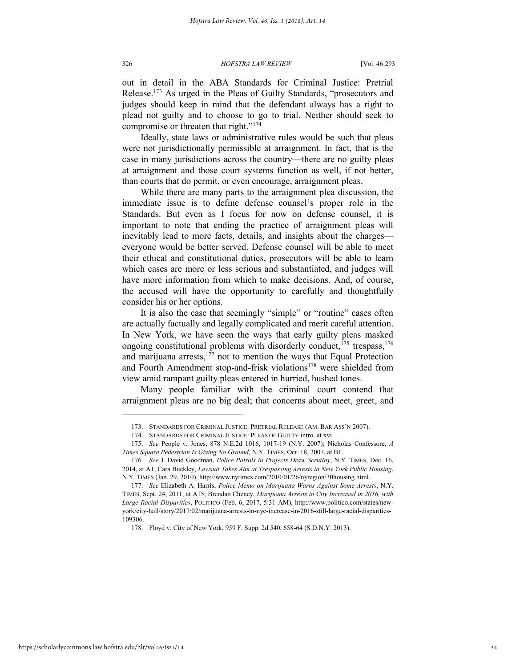out in detail in the ABA Standards for Criminal Justice: Pretrial Release.<sup>173</sup> As urged in the Pleas of Guilty Standards, "prosecutors and judges should keep in mind that the defendant always has a right to plead not guilty and to choose to go to trial. Neither should seek to compromise or threaten that right."<sup>174</sup>

Ideally, state laws or administrative rules would be such that pleas were not jurisdictionally permissible at arraignment. In fact, that is the case in many jurisdictions across the country—there are no guilty pleas at arraignment and those court systems function as well, if not better, than courts that do permit, or even encourage, arraignment pleas.

While there are many parts to the arraignment plea discussion, the immediate issue is to define defense counsel's proper role in the Standards. But even as I focus for now on defense counsel, it is important to note that ending the practice of arraignment pleas will inevitably lead to more facts, details, and insights about the charges everyone would be better served. Defense counsel will be able to meet their ethical and constitutional duties, prosecutors will be able to learn which cases are more or less serious and substantiated, and judges will have more information from which to make decisions. And, of course, the accused will have the opportunity to carefully and thoughtfully consider his or her options.

It is also the case that seemingly "simple" or "routine" cases often are actually factually and legally complicated and merit careful attention. In New York, we have seen the ways that early guilty pleas masked ongoing constitutional problems with disorderly conduct,<sup>175</sup> trespass,<sup>176</sup> and marijuana arrests, $1^{77}$  not to mention the ways that Equal Protection and Fourth Amendment stop-and-frisk violations<sup>178</sup> were shielded from view amid rampant guilty pleas entered in hurried, hushed tones.

Many people familiar with the criminal court contend that arraignment pleas are no big deal; that concerns about meet, greet, and

<sup>173.</sup> STANDARDS FOR CRIMINAL JUSTICE: PRETRIAL RELEASE (AM. BAR ASS'N 2007).

<sup>174.</sup> STANDARDS FOR CRIMINAL JUSTICE: PLEAS OF GUILTY intro. at xvi.

<sup>175.</sup> *See* People v. Jones, 878 N.E.2d 1016, 1017-19 (N.Y. 2007); Nicholas Confessore, *A Times Square Pedestrian Is Giving No Ground*, N.Y. TIMES, Oct. 18, 2007, at B1.

<sup>176.</sup> *See* J. David Goodman, *Police Patrols in Projects Draw Scrutiny*, N.Y. TIMES, Dec. 16, 2014, at A1; Cara Buckley, *Lawsuit Takes Aim at Trespassing Arrests in New York Public Housing*, N.Y. TIMES (Jan. 29, 2010), http://www.nytimes.com/2010/01/26/nyregion/30housing.html.

<sup>177.</sup> *See* Elizabeth A. Harris, *Police Memo on Marijuana Warns Against Some Arrests*, N.Y. TIMES, Sept. 24, 2011, at A15; Brendan Cheney, *Marijuana Arrests in City Increased in 2016, with Large Racial Disparities*, POLITICO (Feb. 6, 2017, 5:31 AM), http://www.politico.com/states/newyork/city-hall/story/2017/02/marijuana-arrests-in-nyc-increase-in-2016-still-large-racial-disparities-109306.

<sup>178.</sup> Floyd v. City of New York, 959 F. Supp. 2d 540, 658-64 (S.D.N.Y. 2013).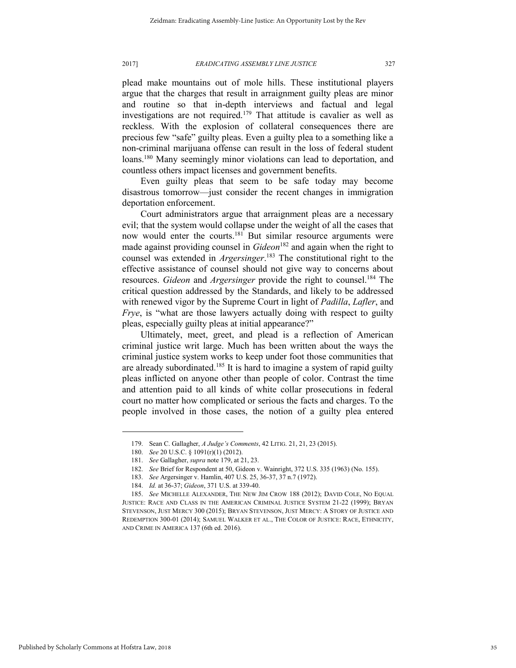plead make mountains out of mole hills. These institutional players argue that the charges that result in arraignment guilty pleas are minor and routine so that in-depth interviews and factual and legal investigations are not required.<sup>179</sup> That attitude is cavalier as well as reckless. With the explosion of collateral consequences there are precious few "safe" guilty pleas. Even a guilty plea to a something like a non-criminal marijuana offense can result in the loss of federal student loans.<sup>180</sup> Many seemingly minor violations can lead to deportation, and countless others impact licenses and government benefits.

Even guilty pleas that seem to be safe today may become disastrous tomorrow—just consider the recent changes in immigration deportation enforcement.

Court administrators argue that arraignment pleas are a necessary evil; that the system would collapse under the weight of all the cases that now would enter the courts.<sup>181</sup> But similar resource arguments were made against providing counsel in *Gideon*<sup>182</sup> and again when the right to counsel was extended in *Argersinger*. <sup>183</sup> The constitutional right to the effective assistance of counsel should not give way to concerns about resources. *Gideon* and *Argersinger* provide the right to counsel.<sup>184</sup> The critical question addressed by the Standards, and likely to be addressed with renewed vigor by the Supreme Court in light of *Padilla*, *Lafler*, and *Frye*, is "what are those lawyers actually doing with respect to guilty pleas, especially guilty pleas at initial appearance?"

Ultimately, meet, greet, and plead is a reflection of American criminal justice writ large. Much has been written about the ways the criminal justice system works to keep under foot those communities that are already subordinated.<sup>185</sup> It is hard to imagine a system of rapid guilty pleas inflicted on anyone other than people of color. Contrast the time and attention paid to all kinds of white collar prosecutions in federal court no matter how complicated or serious the facts and charges. To the people involved in those cases, the notion of a guilty plea entered

<sup>179.</sup> Sean C. Gallagher, *A Judge's Comments*, 42 LITIG. 21, 21, 23 (2015).

<sup>180.</sup> *See* 20 U.S.C. § 1091(r)(1) (2012).

<sup>181.</sup> *See* Gallagher, *supra* note 179, at 21, 23.

<sup>182.</sup> *See* Brief for Respondent at 50, Gideon v. Wainright, 372 U.S. 335 (1963) (No. 155).

<sup>183.</sup> *See* Argersinger v. Hamlin, 407 U.S. 25, 36-37, 37 n.7 (1972).

<sup>184.</sup> *Id.* at 36-37; *Gideon*, 371 U.S. at 339-40.

<sup>185.</sup> *See* MICHELLE ALEXANDER, THE NEW JIM CROW 188 (2012); DAVID COLE, NO EQUAL JUSTICE: RACE AND CLASS IN THE AMERICAN CRIMINAL JUSTICE SYSTEM 21-22 (1999); BRYAN STEVENSON, JUST MERCY 300 (2015); BRYAN STEVENSON, JUST MERCY: A STORY OF JUSTICE AND REDEMPTION 300-01 (2014); SAMUEL WALKER ET AL., THE COLOR OF JUSTICE: RACE, ETHNICITY, AND CRIME IN AMERICA 137 (6th ed. 2016).